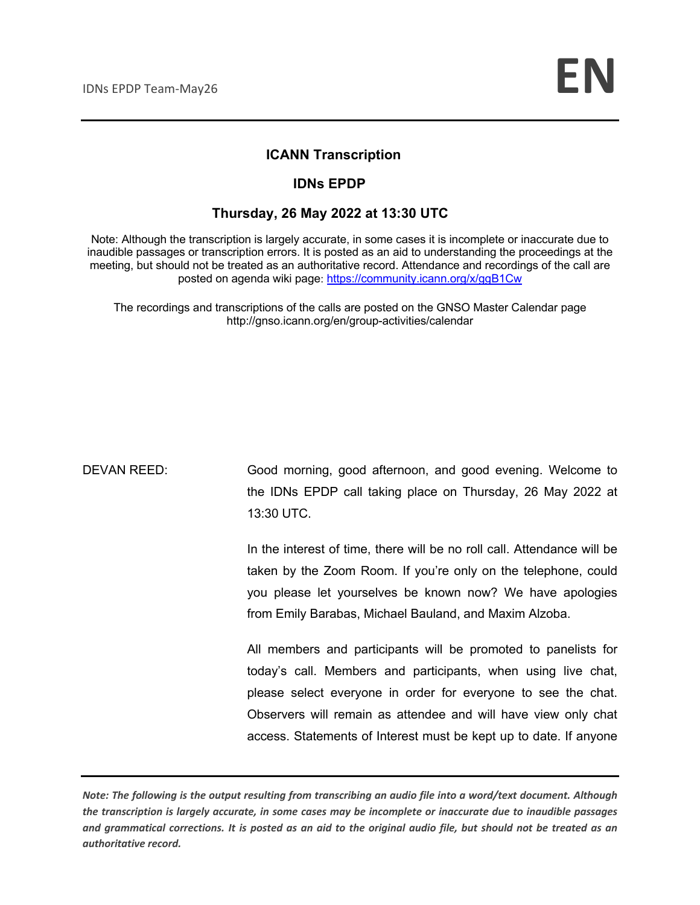#### **ICANN Transcription**

#### **IDNs EPDP**

#### **Thursday, 26 May 2022 at 13:30 UTC**

Note: Although the transcription is largely accurate, in some cases it is incomplete or inaccurate due to inaudible passages or transcription errors. It is posted as an aid to understanding the proceedings at the meeting, but should not be treated as an authoritative record. Attendance and recordings of the call are posted on agenda wiki page: https://community.icann.org/x/ggB1Cw

The recordings and transcriptions of the calls are posted on the GNSO Master Calendar page http://gnso.icann.org/en/group-activities/calendar

DEVAN REED: Good morning, good afternoon, and good evening. Welcome to the IDNs EPDP call taking place on Thursday, 26 May 2022 at 13:30 UTC.

> In the interest of time, there will be no roll call. Attendance will be taken by the Zoom Room. If you're only on the telephone, could you please let yourselves be known now? We have apologies from Emily Barabas, Michael Bauland, and Maxim Alzoba.

> All members and participants will be promoted to panelists for today's call. Members and participants, when using live chat, please select everyone in order for everyone to see the chat. Observers will remain as attendee and will have view only chat access. Statements of Interest must be kept up to date. If anyone

*Note: The following is the output resulting from transcribing an audio file into a word/text document. Although the transcription is largely accurate, in some cases may be incomplete or inaccurate due to inaudible passages and grammatical corrections. It is posted as an aid to the original audio file, but should not be treated as an authoritative record.*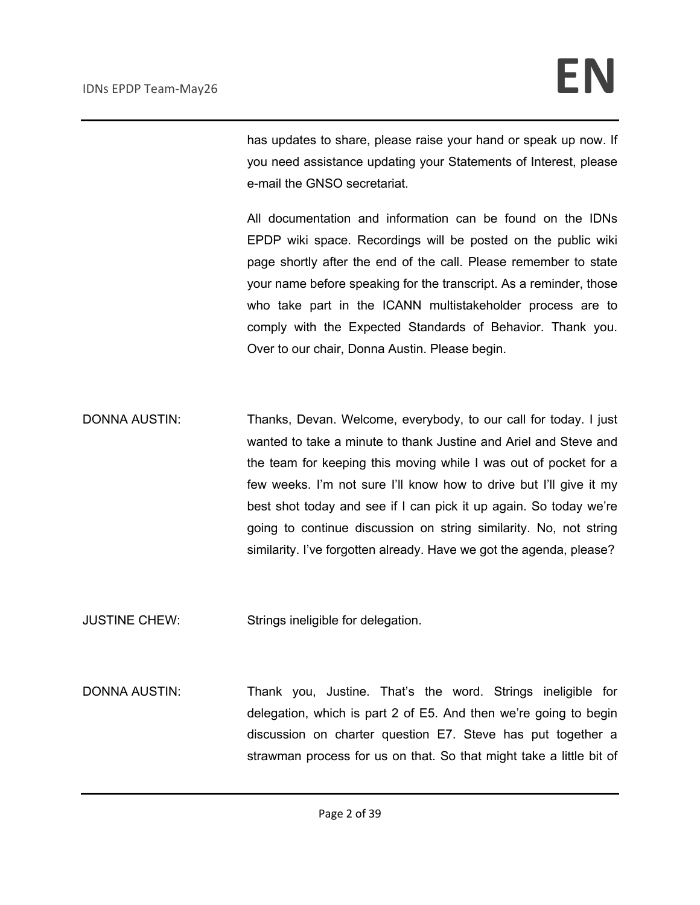has updates to share, please raise your hand or speak up now. If you need assistance updating your Statements of Interest, please e-mail the GNSO secretariat.

All documentation and information can be found on the IDNs EPDP wiki space. Recordings will be posted on the public wiki page shortly after the end of the call. Please remember to state your name before speaking for the transcript. As a reminder, those who take part in the ICANN multistakeholder process are to comply with the Expected Standards of Behavior. Thank you. Over to our chair, Donna Austin. Please begin.

DONNA AUSTIN: Thanks, Devan. Welcome, everybody, to our call for today. I just wanted to take a minute to thank Justine and Ariel and Steve and the team for keeping this moving while I was out of pocket for a few weeks. I'm not sure I'll know how to drive but I'll give it my best shot today and see if I can pick it up again. So today we're going to continue discussion on string similarity. No, not string similarity. I've forgotten already. Have we got the agenda, please?

JUSTINE CHEW: Strings ineligible for delegation.

DONNA AUSTIN: Thank you, Justine. That's the word. Strings ineligible for delegation, which is part 2 of E5. And then we're going to begin discussion on charter question E7. Steve has put together a strawman process for us on that. So that might take a little bit of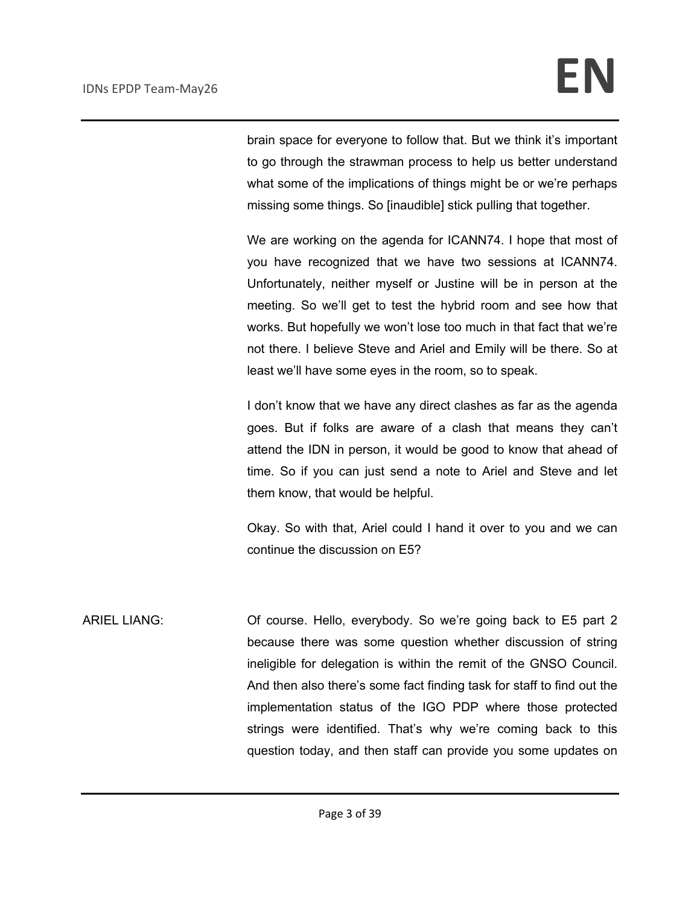brain space for everyone to follow that. But we think it's important to go through the strawman process to help us better understand what some of the implications of things might be or we're perhaps missing some things. So [inaudible] stick pulling that together.

We are working on the agenda for ICANN74. I hope that most of you have recognized that we have two sessions at ICANN74. Unfortunately, neither myself or Justine will be in person at the meeting. So we'll get to test the hybrid room and see how that works. But hopefully we won't lose too much in that fact that we're not there. I believe Steve and Ariel and Emily will be there. So at least we'll have some eyes in the room, so to speak.

I don't know that we have any direct clashes as far as the agenda goes. But if folks are aware of a clash that means they can't attend the IDN in person, it would be good to know that ahead of time. So if you can just send a note to Ariel and Steve and let them know, that would be helpful.

Okay. So with that, Ariel could I hand it over to you and we can continue the discussion on E5?

ARIEL LIANG: Of course. Hello, everybody. So we're going back to E5 part 2 because there was some question whether discussion of string ineligible for delegation is within the remit of the GNSO Council. And then also there's some fact finding task for staff to find out the implementation status of the IGO PDP where those protected strings were identified. That's why we're coming back to this question today, and then staff can provide you some updates on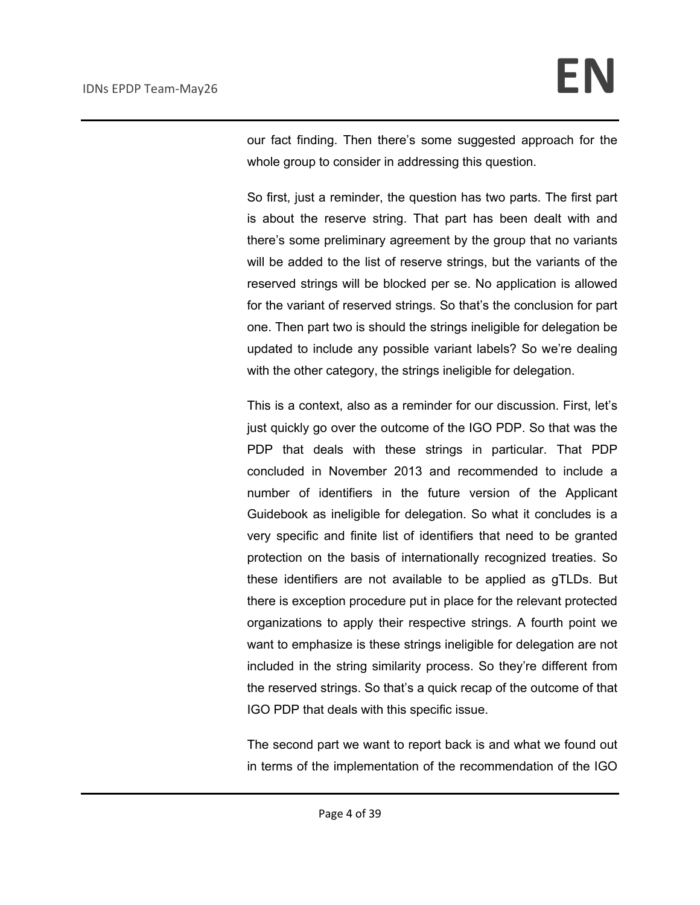our fact finding. Then there's some suggested approach for the whole group to consider in addressing this question.

So first, just a reminder, the question has two parts. The first part is about the reserve string. That part has been dealt with and there's some preliminary agreement by the group that no variants will be added to the list of reserve strings, but the variants of the reserved strings will be blocked per se. No application is allowed for the variant of reserved strings. So that's the conclusion for part one. Then part two is should the strings ineligible for delegation be updated to include any possible variant labels? So we're dealing with the other category, the strings ineligible for delegation.

This is a context, also as a reminder for our discussion. First, let's just quickly go over the outcome of the IGO PDP. So that was the PDP that deals with these strings in particular. That PDP concluded in November 2013 and recommended to include a number of identifiers in the future version of the Applicant Guidebook as ineligible for delegation. So what it concludes is a very specific and finite list of identifiers that need to be granted protection on the basis of internationally recognized treaties. So these identifiers are not available to be applied as gTLDs. But there is exception procedure put in place for the relevant protected organizations to apply their respective strings. A fourth point we want to emphasize is these strings ineligible for delegation are not included in the string similarity process. So they're different from the reserved strings. So that's a quick recap of the outcome of that IGO PDP that deals with this specific issue.

The second part we want to report back is and what we found out in terms of the implementation of the recommendation of the IGO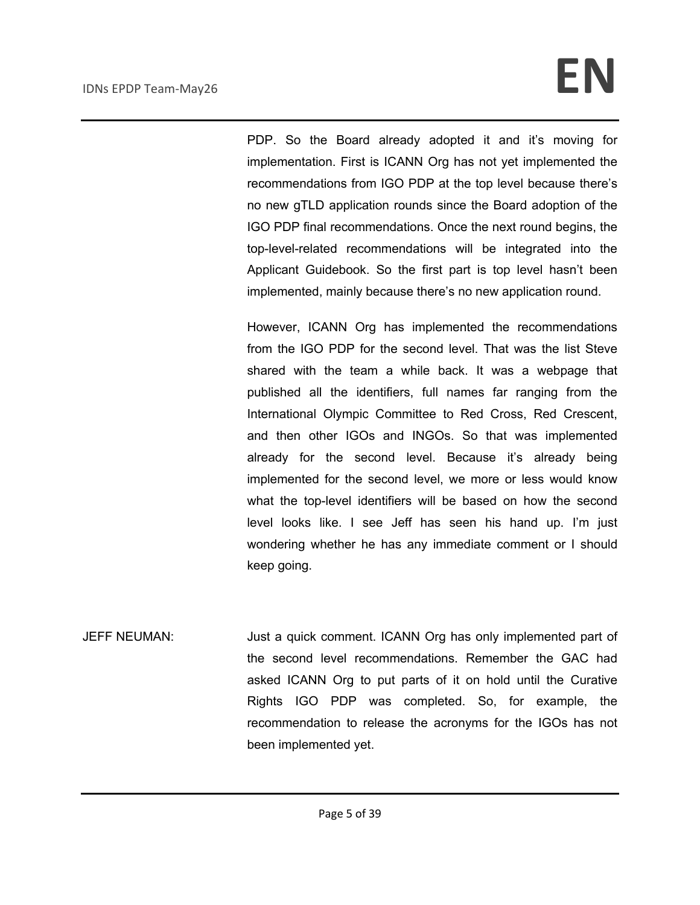PDP. So the Board already adopted it and it's moving for implementation. First is ICANN Org has not yet implemented the recommendations from IGO PDP at the top level because there's no new gTLD application rounds since the Board adoption of the IGO PDP final recommendations. Once the next round begins, the top-level-related recommendations will be integrated into the Applicant Guidebook. So the first part is top level hasn't been implemented, mainly because there's no new application round.

However, ICANN Org has implemented the recommendations from the IGO PDP for the second level. That was the list Steve shared with the team a while back. It was a webpage that published all the identifiers, full names far ranging from the International Olympic Committee to Red Cross, Red Crescent, and then other IGOs and INGOs. So that was implemented already for the second level. Because it's already being implemented for the second level, we more or less would know what the top-level identifiers will be based on how the second level looks like. I see Jeff has seen his hand up. I'm just wondering whether he has any immediate comment or I should keep going.

JEFF NEUMAN: Just a quick comment. ICANN Org has only implemented part of the second level recommendations. Remember the GAC had asked ICANN Org to put parts of it on hold until the Curative Rights IGO PDP was completed. So, for example, the recommendation to release the acronyms for the IGOs has not been implemented yet.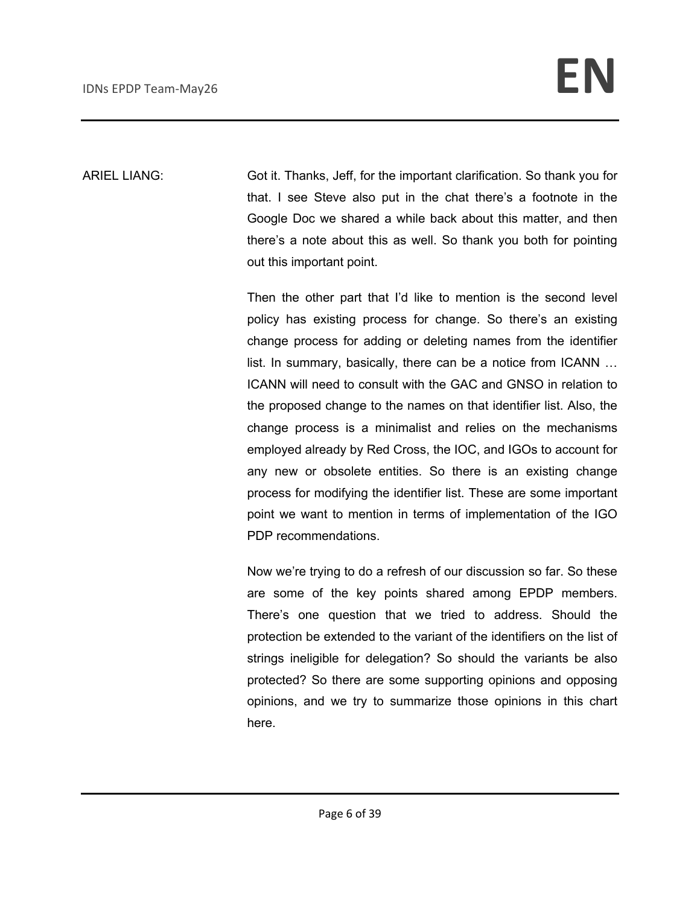ARIEL LIANG: Got it. Thanks, Jeff, for the important clarification. So thank you for that. I see Steve also put in the chat there's a footnote in the Google Doc we shared a while back about this matter, and then there's a note about this as well. So thank you both for pointing out this important point.

> Then the other part that I'd like to mention is the second level policy has existing process for change. So there's an existing change process for adding or deleting names from the identifier list. In summary, basically, there can be a notice from ICANN … ICANN will need to consult with the GAC and GNSO in relation to the proposed change to the names on that identifier list. Also, the change process is a minimalist and relies on the mechanisms employed already by Red Cross, the IOC, and IGOs to account for any new or obsolete entities. So there is an existing change process for modifying the identifier list. These are some important point we want to mention in terms of implementation of the IGO PDP recommendations.

> Now we're trying to do a refresh of our discussion so far. So these are some of the key points shared among EPDP members. There's one question that we tried to address. Should the protection be extended to the variant of the identifiers on the list of strings ineligible for delegation? So should the variants be also protected? So there are some supporting opinions and opposing opinions, and we try to summarize those opinions in this chart here.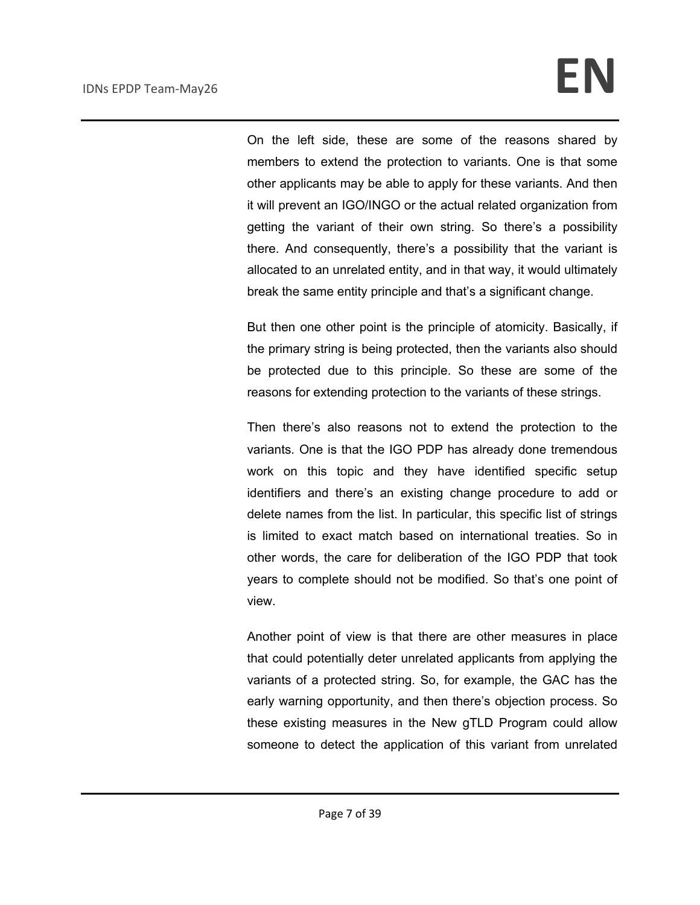On the left side, these are some of the reasons shared by members to extend the protection to variants. One is that some other applicants may be able to apply for these variants. And then it will prevent an IGO/INGO or the actual related organization from getting the variant of their own string. So there's a possibility there. And consequently, there's a possibility that the variant is allocated to an unrelated entity, and in that way, it would ultimately break the same entity principle and that's a significant change.

But then one other point is the principle of atomicity. Basically, if the primary string is being protected, then the variants also should be protected due to this principle. So these are some of the reasons for extending protection to the variants of these strings.

Then there's also reasons not to extend the protection to the variants. One is that the IGO PDP has already done tremendous work on this topic and they have identified specific setup identifiers and there's an existing change procedure to add or delete names from the list. In particular, this specific list of strings is limited to exact match based on international treaties. So in other words, the care for deliberation of the IGO PDP that took years to complete should not be modified. So that's one point of view.

Another point of view is that there are other measures in place that could potentially deter unrelated applicants from applying the variants of a protected string. So, for example, the GAC has the early warning opportunity, and then there's objection process. So these existing measures in the New gTLD Program could allow someone to detect the application of this variant from unrelated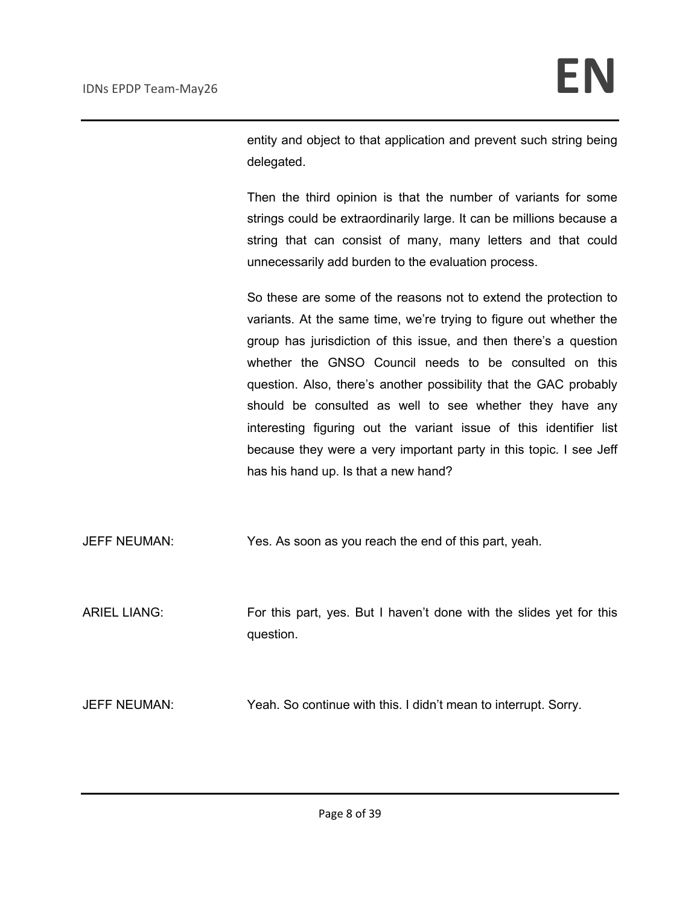entity and object to that application and prevent such string being delegated.

Then the third opinion is that the number of variants for some strings could be extraordinarily large. It can be millions because a string that can consist of many, many letters and that could unnecessarily add burden to the evaluation process.

So these are some of the reasons not to extend the protection to variants. At the same time, we're trying to figure out whether the group has jurisdiction of this issue, and then there's a question whether the GNSO Council needs to be consulted on this question. Also, there's another possibility that the GAC probably should be consulted as well to see whether they have any interesting figuring out the variant issue of this identifier list because they were a very important party in this topic. I see Jeff has his hand up. Is that a new hand?

JEFF NEUMAN: Yes. As soon as you reach the end of this part, yeah.

ARIEL LIANG: For this part, yes. But I haven't done with the slides yet for this question.

JEFF NEUMAN: Yeah. So continue with this. I didn't mean to interrupt. Sorry.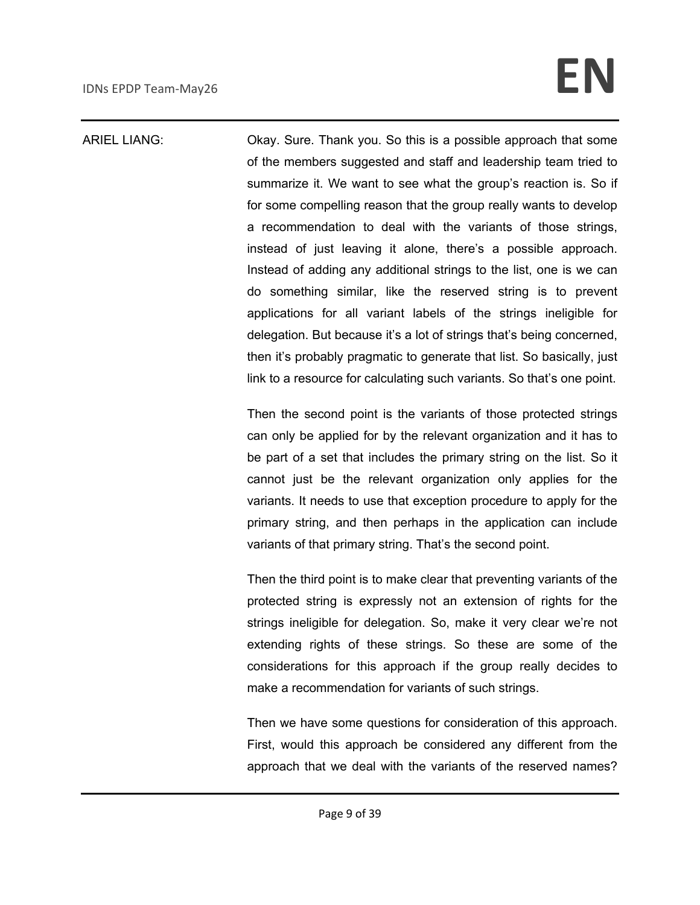#### ARIEL LIANG: Okay. Sure. Thank you. So this is a possible approach that some of the members suggested and staff and leadership team tried to summarize it. We want to see what the group's reaction is. So if for some compelling reason that the group really wants to develop a recommendation to deal with the variants of those strings, instead of just leaving it alone, there's a possible approach. Instead of adding any additional strings to the list, one is we can do something similar, like the reserved string is to prevent applications for all variant labels of the strings ineligible for delegation. But because it's a lot of strings that's being concerned, then it's probably pragmatic to generate that list. So basically, just link to a resource for calculating such variants. So that's one point.

Then the second point is the variants of those protected strings can only be applied for by the relevant organization and it has to be part of a set that includes the primary string on the list. So it cannot just be the relevant organization only applies for the variants. It needs to use that exception procedure to apply for the primary string, and then perhaps in the application can include variants of that primary string. That's the second point.

Then the third point is to make clear that preventing variants of the protected string is expressly not an extension of rights for the strings ineligible for delegation. So, make it very clear we're not extending rights of these strings. So these are some of the considerations for this approach if the group really decides to make a recommendation for variants of such strings.

Then we have some questions for consideration of this approach. First, would this approach be considered any different from the approach that we deal with the variants of the reserved names?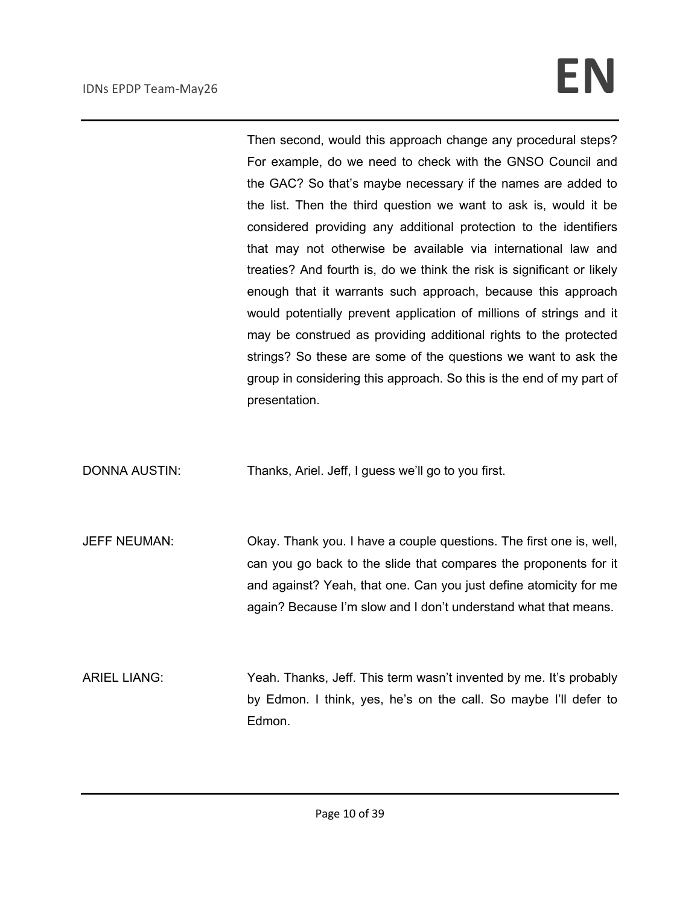Then second, would this approach change any procedural steps? For example, do we need to check with the GNSO Council and the GAC? So that's maybe necessary if the names are added to the list. Then the third question we want to ask is, would it be considered providing any additional protection to the identifiers that may not otherwise be available via international law and treaties? And fourth is, do we think the risk is significant or likely enough that it warrants such approach, because this approach would potentially prevent application of millions of strings and it may be construed as providing additional rights to the protected strings? So these are some of the questions we want to ask the group in considering this approach. So this is the end of my part of presentation.

DONNA AUSTIN: Thanks, Ariel. Jeff, I guess we'll go to you first.

JEFF NEUMAN: Okay. Thank you. I have a couple questions. The first one is, well, can you go back to the slide that compares the proponents for it and against? Yeah, that one. Can you just define atomicity for me again? Because I'm slow and I don't understand what that means.

ARIEL LIANG: Yeah. Thanks, Jeff. This term wasn't invented by me. It's probably by Edmon. I think, yes, he's on the call. So maybe I'll defer to Edmon.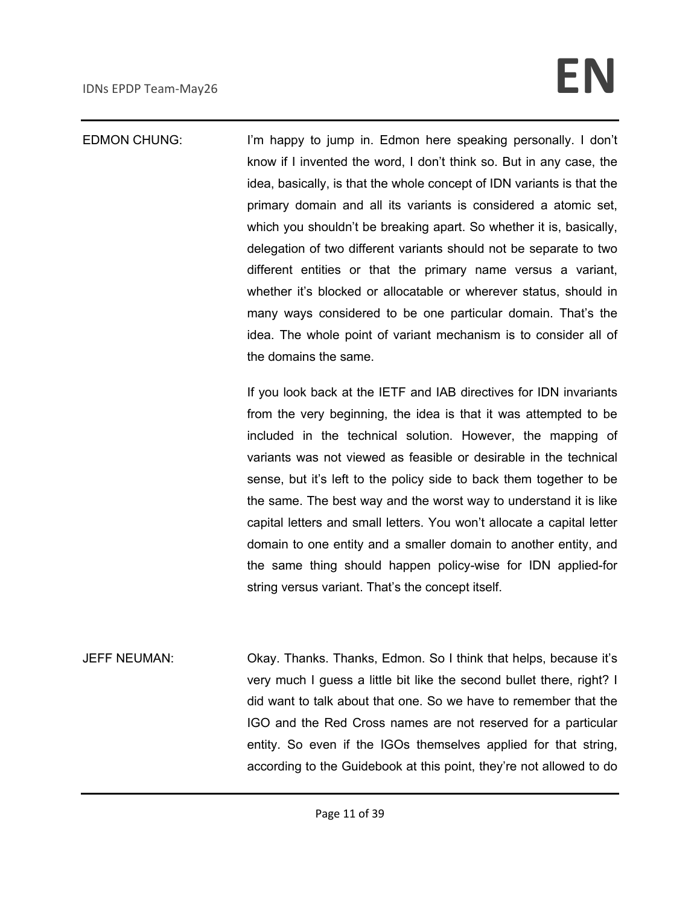EDMON CHUNG: I'm happy to jump in. Edmon here speaking personally. I don't know if I invented the word, I don't think so. But in any case, the idea, basically, is that the whole concept of IDN variants is that the primary domain and all its variants is considered a atomic set, which you shouldn't be breaking apart. So whether it is, basically, delegation of two different variants should not be separate to two different entities or that the primary name versus a variant, whether it's blocked or allocatable or wherever status, should in many ways considered to be one particular domain. That's the idea. The whole point of variant mechanism is to consider all of the domains the same.

> If you look back at the IETF and IAB directives for IDN invariants from the very beginning, the idea is that it was attempted to be included in the technical solution. However, the mapping of variants was not viewed as feasible or desirable in the technical sense, but it's left to the policy side to back them together to be the same. The best way and the worst way to understand it is like capital letters and small letters. You won't allocate a capital letter domain to one entity and a smaller domain to another entity, and the same thing should happen policy-wise for IDN applied-for string versus variant. That's the concept itself.

JEFF NEUMAN: Okay. Thanks. Thanks, Edmon. So I think that helps, because it's very much I guess a little bit like the second bullet there, right? I did want to talk about that one. So we have to remember that the IGO and the Red Cross names are not reserved for a particular entity. So even if the IGOs themselves applied for that string, according to the Guidebook at this point, they're not allowed to do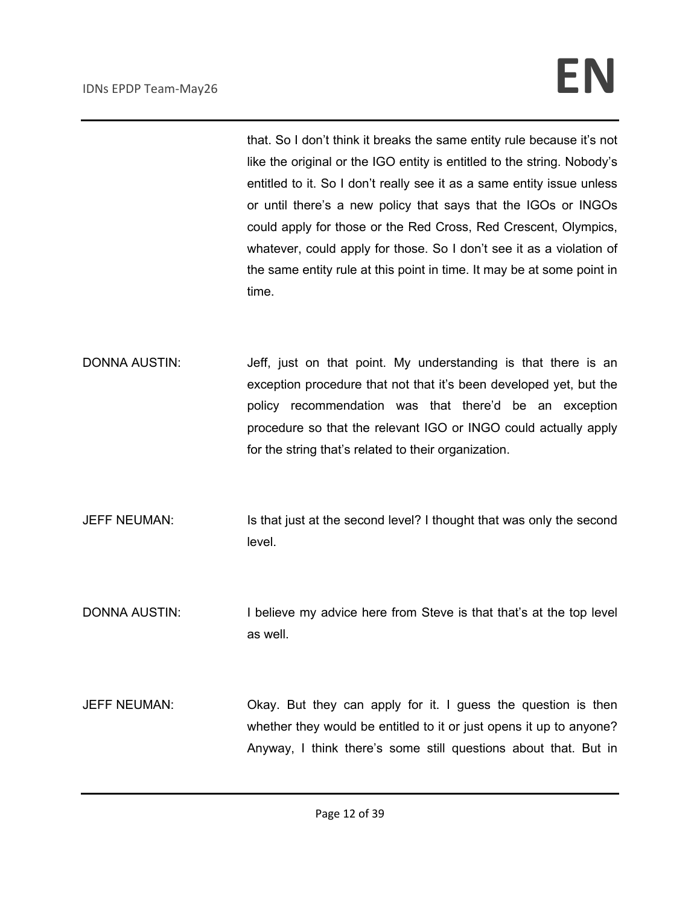that. So I don't think it breaks the same entity rule because it's not like the original or the IGO entity is entitled to the string. Nobody's entitled to it. So I don't really see it as a same entity issue unless or until there's a new policy that says that the IGOs or INGOs could apply for those or the Red Cross, Red Crescent, Olympics, whatever, could apply for those. So I don't see it as a violation of the same entity rule at this point in time. It may be at some point in time.

DONNA AUSTIN: Jeff, just on that point. My understanding is that there is an exception procedure that not that it's been developed yet, but the policy recommendation was that there'd be an exception procedure so that the relevant IGO or INGO could actually apply for the string that's related to their organization.

JEFF NEUMAN: Is that just at the second level? I thought that was only the second level.

DONNA AUSTIN: I believe my advice here from Steve is that that's at the top level as well.

JEFF NEUMAN: Okay. But they can apply for it. I guess the question is then whether they would be entitled to it or just opens it up to anyone? Anyway, I think there's some still questions about that. But in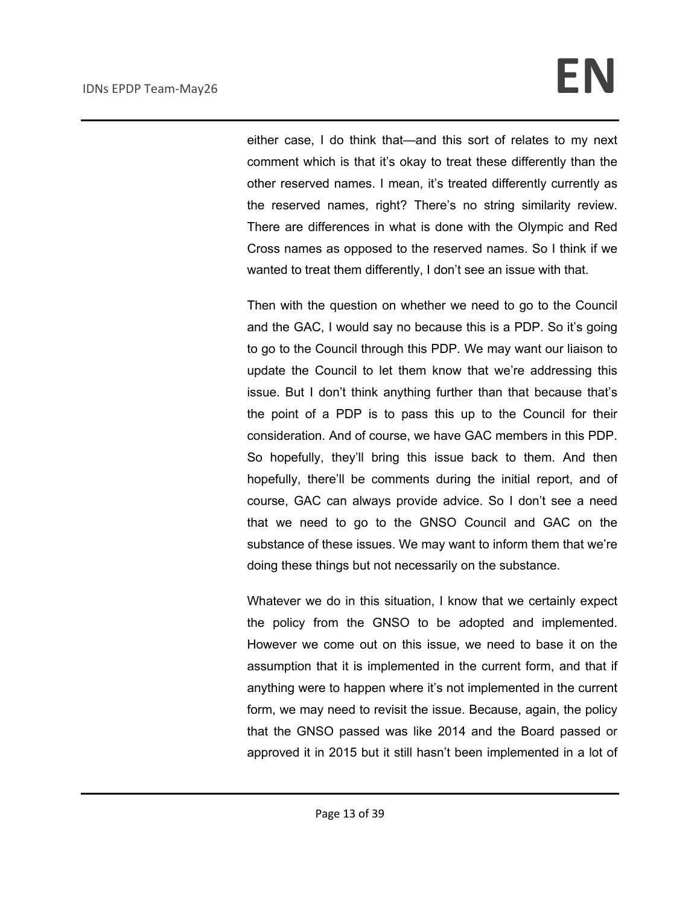either case, I do think that—and this sort of relates to my next comment which is that it's okay to treat these differently than the other reserved names. I mean, it's treated differently currently as the reserved names, right? There's no string similarity review. There are differences in what is done with the Olympic and Red Cross names as opposed to the reserved names. So I think if we wanted to treat them differently, I don't see an issue with that.

Then with the question on whether we need to go to the Council and the GAC, I would say no because this is a PDP. So it's going to go to the Council through this PDP. We may want our liaison to update the Council to let them know that we're addressing this issue. But I don't think anything further than that because that's the point of a PDP is to pass this up to the Council for their consideration. And of course, we have GAC members in this PDP. So hopefully, they'll bring this issue back to them. And then hopefully, there'll be comments during the initial report, and of course, GAC can always provide advice. So I don't see a need that we need to go to the GNSO Council and GAC on the substance of these issues. We may want to inform them that we're doing these things but not necessarily on the substance.

Whatever we do in this situation, I know that we certainly expect the policy from the GNSO to be adopted and implemented. However we come out on this issue, we need to base it on the assumption that it is implemented in the current form, and that if anything were to happen where it's not implemented in the current form, we may need to revisit the issue. Because, again, the policy that the GNSO passed was like 2014 and the Board passed or approved it in 2015 but it still hasn't been implemented in a lot of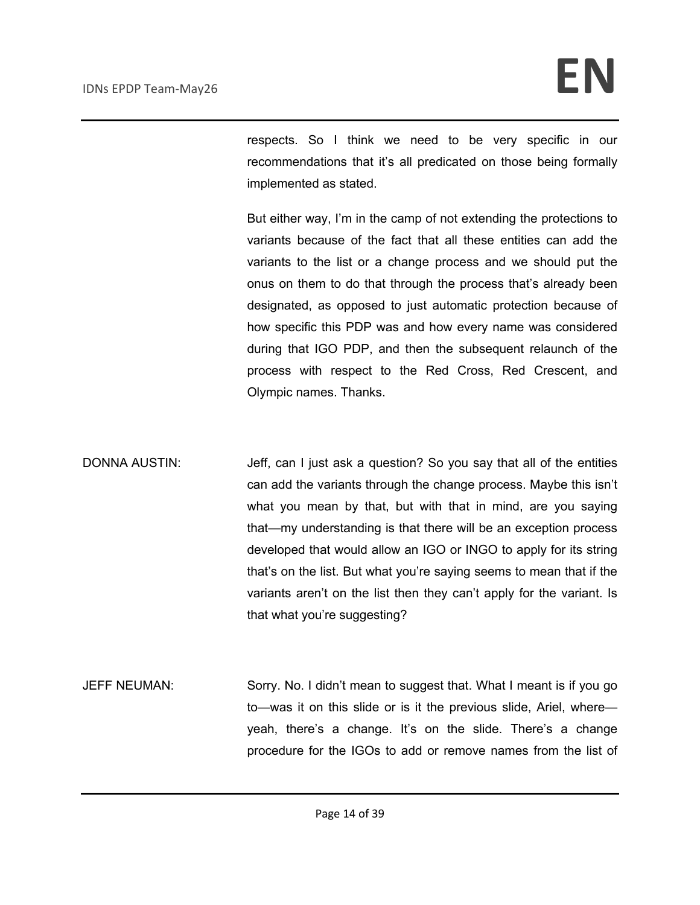respects. So I think we need to be very specific in our recommendations that it's all predicated on those being formally implemented as stated.

But either way, I'm in the camp of not extending the protections to variants because of the fact that all these entities can add the variants to the list or a change process and we should put the onus on them to do that through the process that's already been designated, as opposed to just automatic protection because of how specific this PDP was and how every name was considered during that IGO PDP, and then the subsequent relaunch of the process with respect to the Red Cross, Red Crescent, and Olympic names. Thanks.

DONNA AUSTIN: Jeff, can I just ask a question? So you say that all of the entities can add the variants through the change process. Maybe this isn't what you mean by that, but with that in mind, are you saying that—my understanding is that there will be an exception process developed that would allow an IGO or INGO to apply for its string that's on the list. But what you're saying seems to mean that if the variants aren't on the list then they can't apply for the variant. Is that what you're suggesting?

JEFF NEUMAN: Sorry. No. I didn't mean to suggest that. What I meant is if you go to—was it on this slide or is it the previous slide, Ariel, where yeah, there's a change. It's on the slide. There's a change procedure for the IGOs to add or remove names from the list of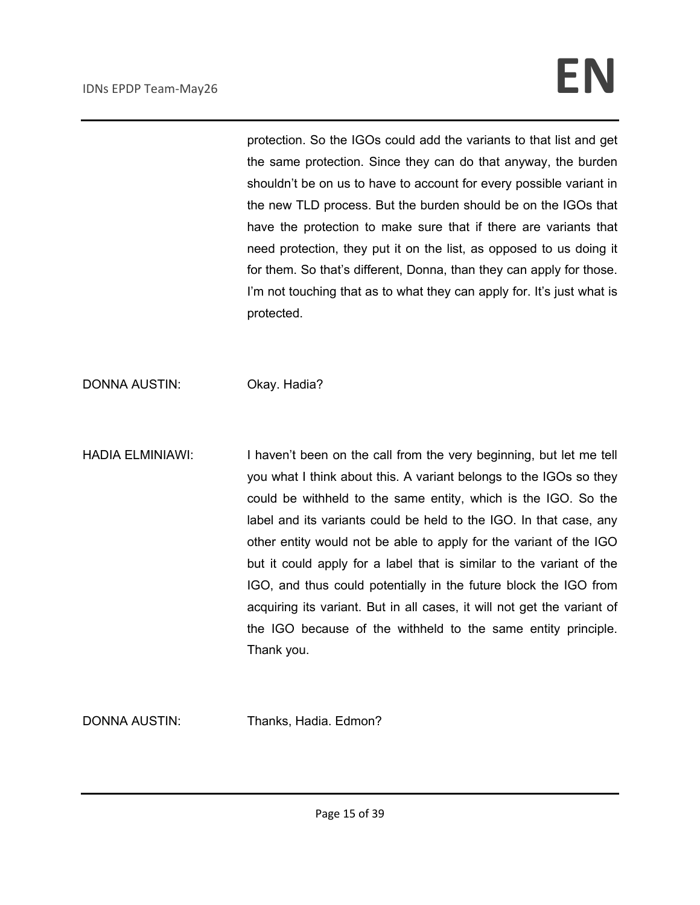protection. So the IGOs could add the variants to that list and get the same protection. Since they can do that anyway, the burden shouldn't be on us to have to account for every possible variant in the new TLD process. But the burden should be on the IGOs that have the protection to make sure that if there are variants that need protection, they put it on the list, as opposed to us doing it for them. So that's different, Donna, than they can apply for those. I'm not touching that as to what they can apply for. It's just what is protected.

DONNA AUSTIN: Okay. Hadia?

HADIA ELMINIAWI: I haven't been on the call from the very beginning, but let me tell you what I think about this. A variant belongs to the IGOs so they could be withheld to the same entity, which is the IGO. So the label and its variants could be held to the IGO. In that case, any other entity would not be able to apply for the variant of the IGO but it could apply for a label that is similar to the variant of the IGO, and thus could potentially in the future block the IGO from acquiring its variant. But in all cases, it will not get the variant of the IGO because of the withheld to the same entity principle. Thank you.

DONNA AUSTIN: Thanks, Hadia. Edmon?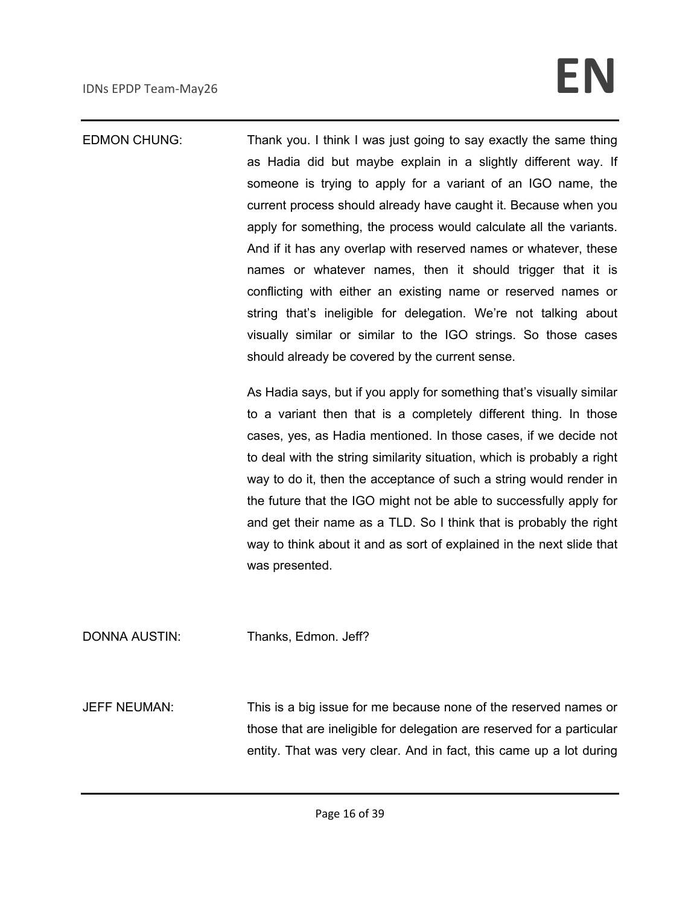EDMON CHUNG: Thank you. I think I was just going to say exactly the same thing as Hadia did but maybe explain in a slightly different way. If someone is trying to apply for a variant of an IGO name, the current process should already have caught it. Because when you apply for something, the process would calculate all the variants. And if it has any overlap with reserved names or whatever, these names or whatever names, then it should trigger that it is conflicting with either an existing name or reserved names or string that's ineligible for delegation. We're not talking about visually similar or similar to the IGO strings. So those cases should already be covered by the current sense.

> As Hadia says, but if you apply for something that's visually similar to a variant then that is a completely different thing. In those cases, yes, as Hadia mentioned. In those cases, if we decide not to deal with the string similarity situation, which is probably a right way to do it, then the acceptance of such a string would render in the future that the IGO might not be able to successfully apply for and get their name as a TLD. So I think that is probably the right way to think about it and as sort of explained in the next slide that was presented.

DONNA AUSTIN: Thanks, Edmon. Jeff?

JEFF NEUMAN: This is a big issue for me because none of the reserved names or those that are ineligible for delegation are reserved for a particular entity. That was very clear. And in fact, this came up a lot during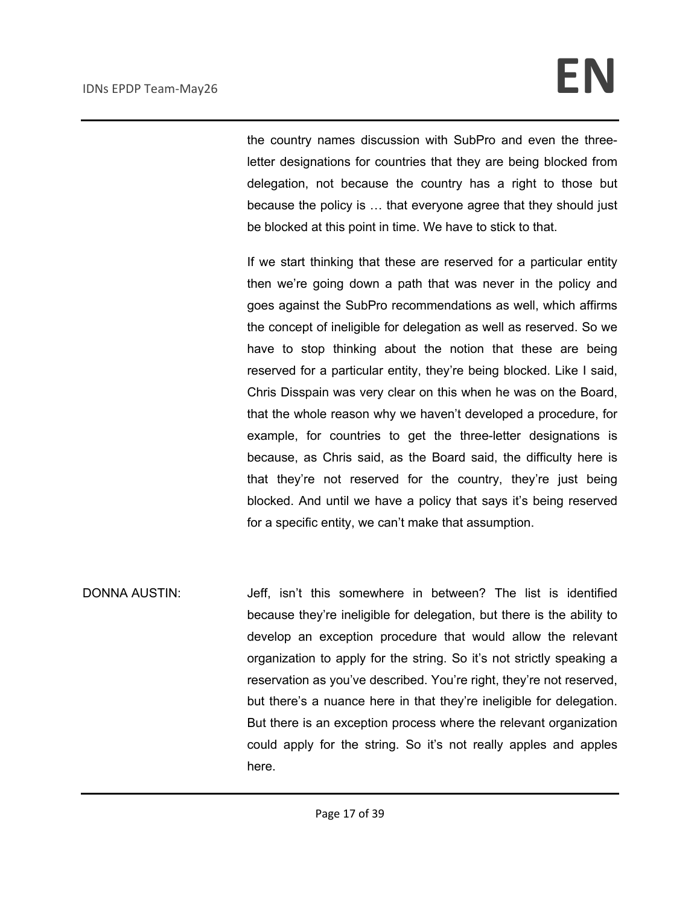the country names discussion with SubPro and even the threeletter designations for countries that they are being blocked from delegation, not because the country has a right to those but because the policy is … that everyone agree that they should just be blocked at this point in time. We have to stick to that.

If we start thinking that these are reserved for a particular entity then we're going down a path that was never in the policy and goes against the SubPro recommendations as well, which affirms the concept of ineligible for delegation as well as reserved. So we have to stop thinking about the notion that these are being reserved for a particular entity, they're being blocked. Like I said, Chris Disspain was very clear on this when he was on the Board, that the whole reason why we haven't developed a procedure, for example, for countries to get the three-letter designations is because, as Chris said, as the Board said, the difficulty here is that they're not reserved for the country, they're just being blocked. And until we have a policy that says it's being reserved for a specific entity, we can't make that assumption.

DONNA AUSTIN: Jeff, isn't this somewhere in between? The list is identified because they're ineligible for delegation, but there is the ability to develop an exception procedure that would allow the relevant organization to apply for the string. So it's not strictly speaking a reservation as you've described. You're right, they're not reserved, but there's a nuance here in that they're ineligible for delegation. But there is an exception process where the relevant organization could apply for the string. So it's not really apples and apples here.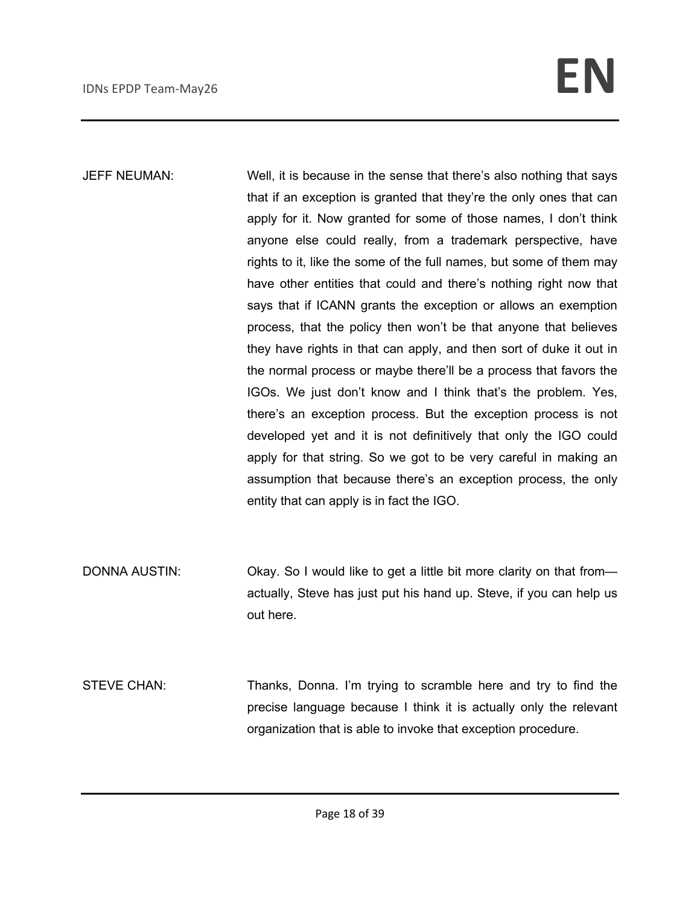- JEFF NEUMAN: Well, it is because in the sense that there's also nothing that says that if an exception is granted that they're the only ones that can apply for it. Now granted for some of those names, I don't think anyone else could really, from a trademark perspective, have rights to it, like the some of the full names, but some of them may have other entities that could and there's nothing right now that says that if ICANN grants the exception or allows an exemption process, that the policy then won't be that anyone that believes they have rights in that can apply, and then sort of duke it out in the normal process or maybe there'll be a process that favors the IGOs. We just don't know and I think that's the problem. Yes, there's an exception process. But the exception process is not developed yet and it is not definitively that only the IGO could apply for that string. So we got to be very careful in making an assumption that because there's an exception process, the only entity that can apply is in fact the IGO.
- DONNA AUSTIN: Okay. So I would like to get a little bit more clarity on that fromactually, Steve has just put his hand up. Steve, if you can help us out here.
- STEVE CHAN: Thanks, Donna. I'm trying to scramble here and try to find the precise language because I think it is actually only the relevant organization that is able to invoke that exception procedure.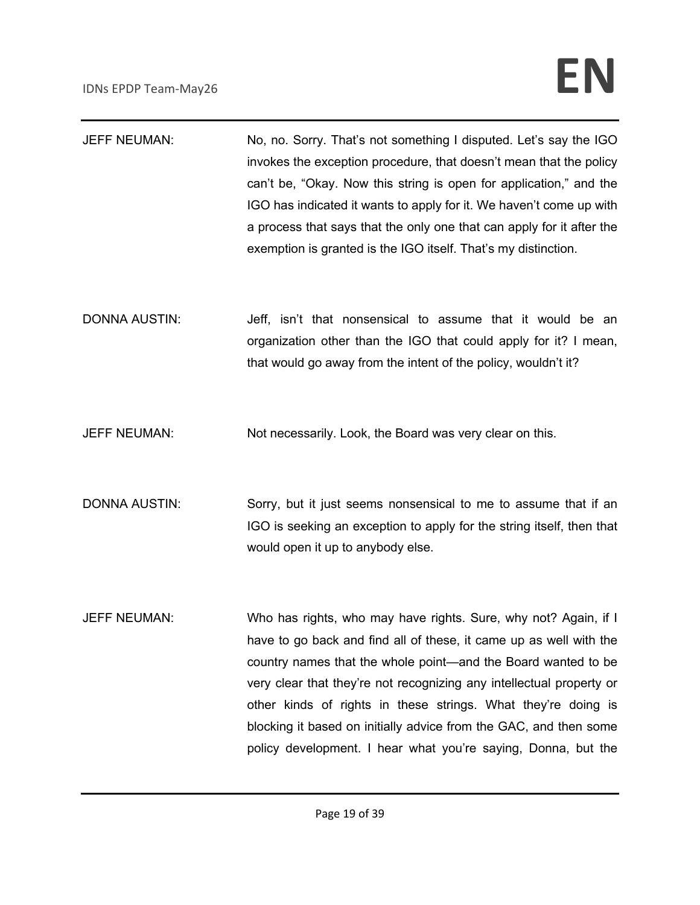| <b>JEFF NEUMAN:</b>  | No, no. Sorry. That's not something I disputed. Let's say the IGO<br>invokes the exception procedure, that doesn't mean that the policy<br>can't be, "Okay. Now this string is open for application," and the<br>IGO has indicated it wants to apply for it. We haven't come up with<br>a process that says that the only one that can apply for it after the<br>exemption is granted is the IGO itself. That's my distinction.                                                       |
|----------------------|---------------------------------------------------------------------------------------------------------------------------------------------------------------------------------------------------------------------------------------------------------------------------------------------------------------------------------------------------------------------------------------------------------------------------------------------------------------------------------------|
| <b>DONNA AUSTIN:</b> | Jeff, isn't that nonsensical to assume that it would be an<br>organization other than the IGO that could apply for it? I mean,<br>that would go away from the intent of the policy, wouldn't it?                                                                                                                                                                                                                                                                                      |
| <b>JEFF NEUMAN:</b>  | Not necessarily. Look, the Board was very clear on this.                                                                                                                                                                                                                                                                                                                                                                                                                              |
| <b>DONNA AUSTIN:</b> | Sorry, but it just seems nonsensical to me to assume that if an<br>IGO is seeking an exception to apply for the string itself, then that<br>would open it up to anybody else.                                                                                                                                                                                                                                                                                                         |
| <b>JEFF NEUMAN:</b>  | Who has rights, who may have rights. Sure, why not? Again, if I<br>have to go back and find all of these, it came up as well with the<br>country names that the whole point—and the Board wanted to be<br>very clear that they're not recognizing any intellectual property or<br>other kinds of rights in these strings. What they're doing is<br>blocking it based on initially advice from the GAC, and then some<br>policy development. I hear what you're saying, Donna, but the |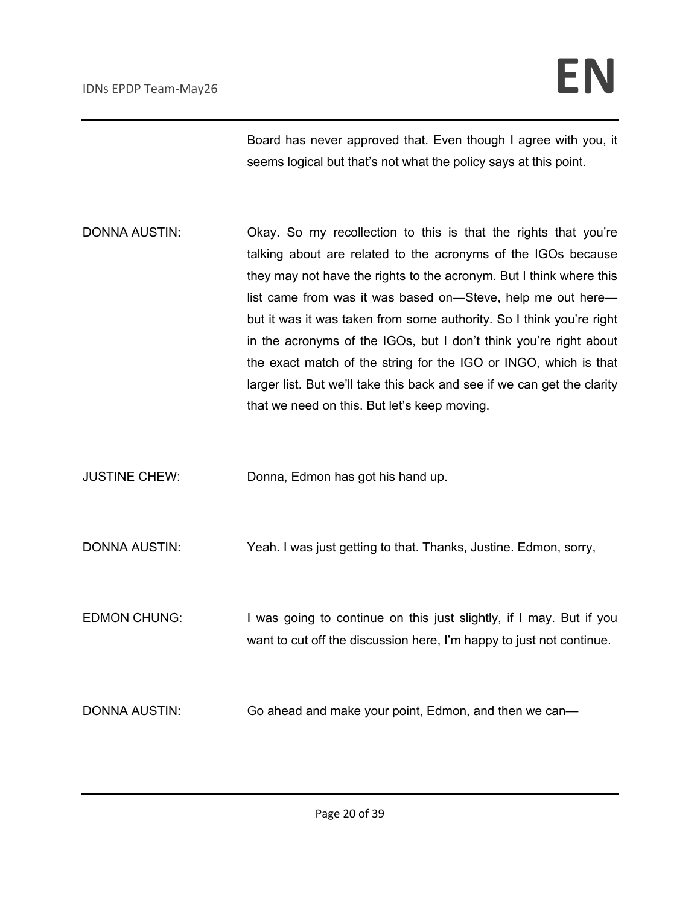Board has never approved that. Even though I agree with you, it seems logical but that's not what the policy says at this point.

- DONNA AUSTIN: Okay. So my recollection to this is that the rights that you're talking about are related to the acronyms of the IGOs because they may not have the rights to the acronym. But I think where this list came from was it was based on—Steve, help me out here but it was it was taken from some authority. So I think you're right in the acronyms of the IGOs, but I don't think you're right about the exact match of the string for the IGO or INGO, which is that larger list. But we'll take this back and see if we can get the clarity that we need on this. But let's keep moving.
- JUSTINE CHEW: Donna, Edmon has got his hand up.

DONNA AUSTIN: Yeah. I was just getting to that. Thanks, Justine. Edmon, sorry,

EDMON CHUNG: I was going to continue on this just slightly, if I may. But if you want to cut off the discussion here, I'm happy to just not continue.

DONNA AUSTIN: Go ahead and make your point, Edmon, and then we can—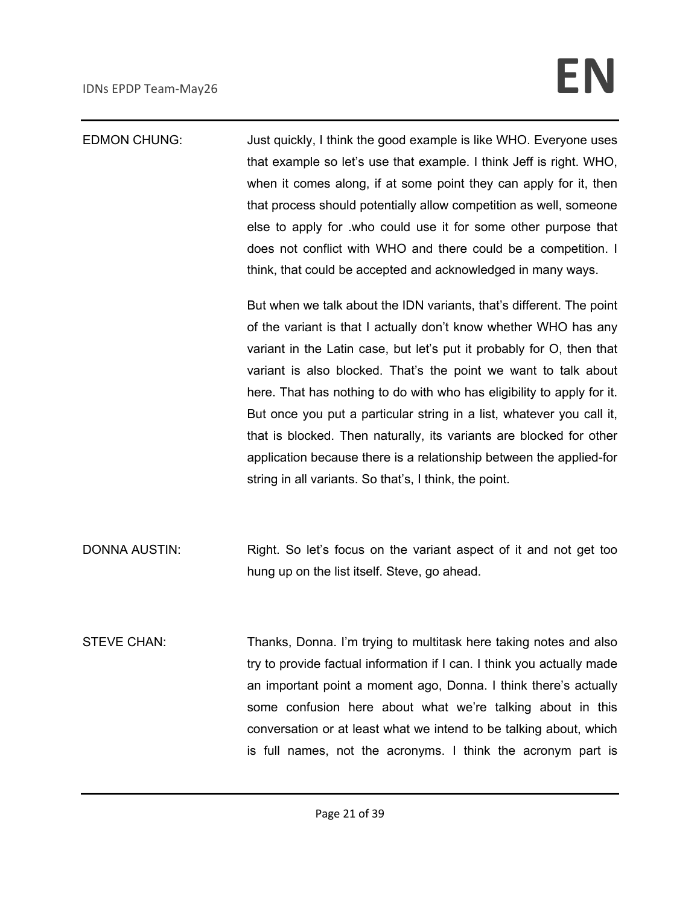| <b>EDMON CHUNG:</b>  | Just quickly, I think the good example is like WHO. Everyone uses      |
|----------------------|------------------------------------------------------------------------|
|                      | that example so let's use that example. I think Jeff is right. WHO,    |
|                      | when it comes along, if at some point they can apply for it, then      |
|                      | that process should potentially allow competition as well, someone     |
|                      | else to apply for .who could use it for some other purpose that        |
|                      | does not conflict with WHO and there could be a competition. I         |
|                      | think, that could be accepted and acknowledged in many ways.           |
|                      | But when we talk about the IDN variants, that's different. The point   |
|                      | of the variant is that I actually don't know whether WHO has any       |
|                      | variant in the Latin case, but let's put it probably for O, then that  |
|                      | variant is also blocked. That's the point we want to talk about        |
|                      | here. That has nothing to do with who has eligibility to apply for it. |
|                      | But once you put a particular string in a list, whatever you call it,  |
|                      | that is blocked. Then naturally, its variants are blocked for other    |
|                      | application because there is a relationship between the applied-for    |
|                      | string in all variants. So that's, I think, the point.                 |
|                      |                                                                        |
| <b>DONNA AUSTIN:</b> | Right. So let's focus on the variant aspect of it and not get too      |
|                      | hung up on the list itself. Steve, go ahead.                           |
|                      |                                                                        |
| <b>STEVE CHAN:</b>   | Thanks, Donna. I'm trying to multitask here taking notes and also      |
|                      | try to provide factual information if I can. I think you actually made |
|                      | an important point a moment ago, Donna. I think there's actually       |
|                      | some confusion here about what we're talking about in this             |

conversation or at least what we intend to be talking about, which is full names, not the acronyms. I think the acronym part is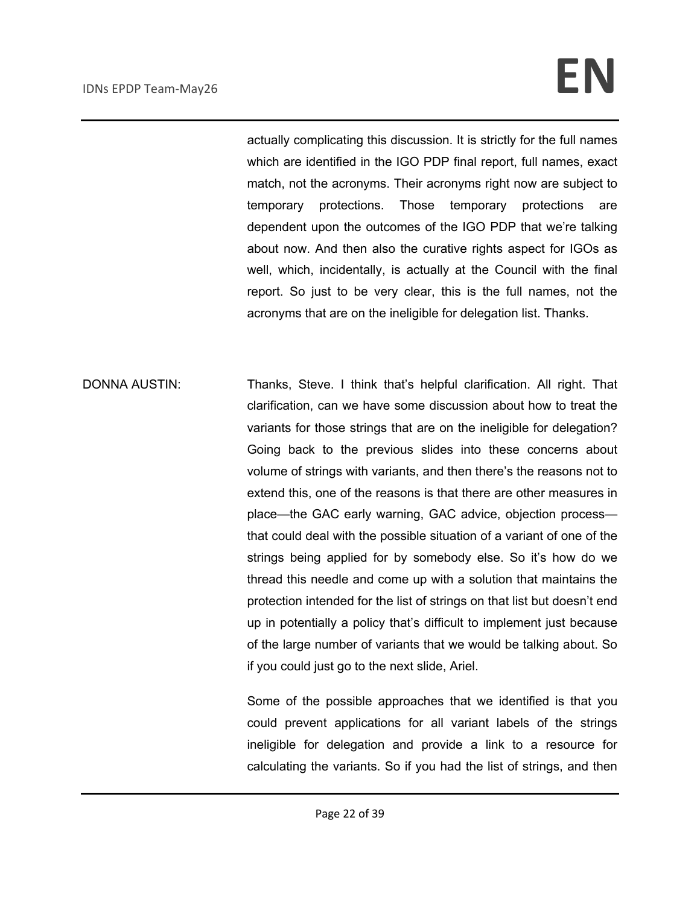actually complicating this discussion. It is strictly for the full names which are identified in the IGO PDP final report, full names, exact match, not the acronyms. Their acronyms right now are subject to temporary protections. Those temporary protections are dependent upon the outcomes of the IGO PDP that we're talking about now. And then also the curative rights aspect for IGOs as well, which, incidentally, is actually at the Council with the final report. So just to be very clear, this is the full names, not the acronyms that are on the ineligible for delegation list. Thanks.

DONNA AUSTIN: Thanks, Steve. I think that's helpful clarification. All right. That clarification, can we have some discussion about how to treat the variants for those strings that are on the ineligible for delegation? Going back to the previous slides into these concerns about volume of strings with variants, and then there's the reasons not to extend this, one of the reasons is that there are other measures in place—the GAC early warning, GAC advice, objection process that could deal with the possible situation of a variant of one of the strings being applied for by somebody else. So it's how do we thread this needle and come up with a solution that maintains the protection intended for the list of strings on that list but doesn't end up in potentially a policy that's difficult to implement just because of the large number of variants that we would be talking about. So if you could just go to the next slide, Ariel.

> Some of the possible approaches that we identified is that you could prevent applications for all variant labels of the strings ineligible for delegation and provide a link to a resource for calculating the variants. So if you had the list of strings, and then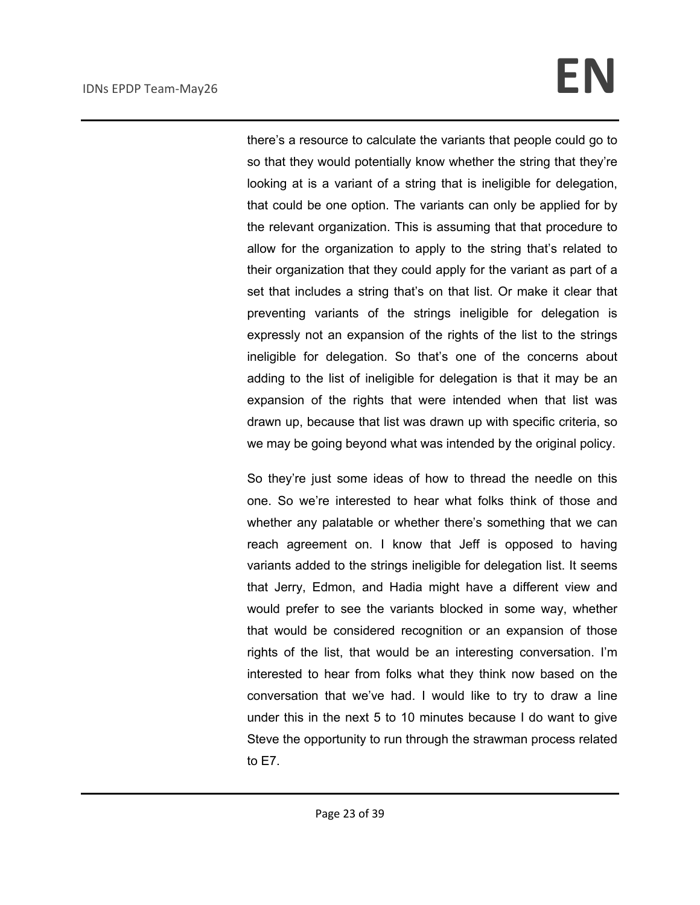there's a resource to calculate the variants that people could go to so that they would potentially know whether the string that they're looking at is a variant of a string that is ineligible for delegation, that could be one option. The variants can only be applied for by the relevant organization. This is assuming that that procedure to allow for the organization to apply to the string that's related to their organization that they could apply for the variant as part of a set that includes a string that's on that list. Or make it clear that preventing variants of the strings ineligible for delegation is expressly not an expansion of the rights of the list to the strings ineligible for delegation. So that's one of the concerns about adding to the list of ineligible for delegation is that it may be an expansion of the rights that were intended when that list was drawn up, because that list was drawn up with specific criteria, so we may be going beyond what was intended by the original policy.

So they're just some ideas of how to thread the needle on this one. So we're interested to hear what folks think of those and whether any palatable or whether there's something that we can reach agreement on. I know that Jeff is opposed to having variants added to the strings ineligible for delegation list. It seems that Jerry, Edmon, and Hadia might have a different view and would prefer to see the variants blocked in some way, whether that would be considered recognition or an expansion of those rights of the list, that would be an interesting conversation. I'm interested to hear from folks what they think now based on the conversation that we've had. I would like to try to draw a line under this in the next 5 to 10 minutes because I do want to give Steve the opportunity to run through the strawman process related to E7.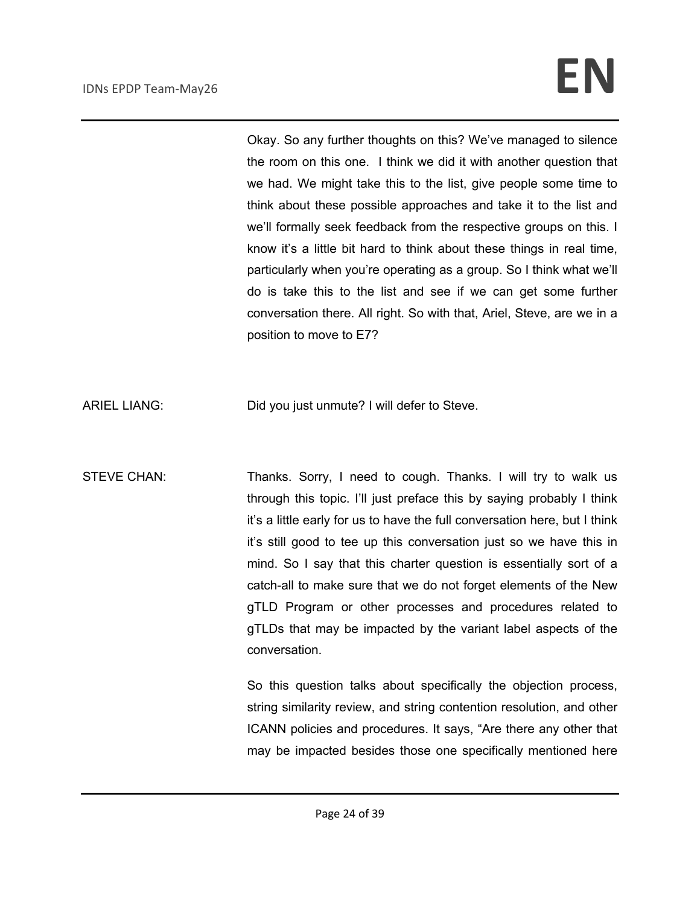Okay. So any further thoughts on this? We've managed to silence the room on this one. I think we did it with another question that we had. We might take this to the list, give people some time to think about these possible approaches and take it to the list and we'll formally seek feedback from the respective groups on this. I know it's a little bit hard to think about these things in real time, particularly when you're operating as a group. So I think what we'll do is take this to the list and see if we can get some further conversation there. All right. So with that, Ariel, Steve, are we in a position to move to E7?

ARIEL LIANG: Did you just unmute? I will defer to Steve.

STEVE CHAN: Thanks. Sorry, I need to cough. Thanks. I will try to walk us through this topic. I'll just preface this by saying probably I think it's a little early for us to have the full conversation here, but I think it's still good to tee up this conversation just so we have this in mind. So I say that this charter question is essentially sort of a catch-all to make sure that we do not forget elements of the New gTLD Program or other processes and procedures related to gTLDs that may be impacted by the variant label aspects of the conversation.

> So this question talks about specifically the objection process, string similarity review, and string contention resolution, and other ICANN policies and procedures. It says, "Are there any other that may be impacted besides those one specifically mentioned here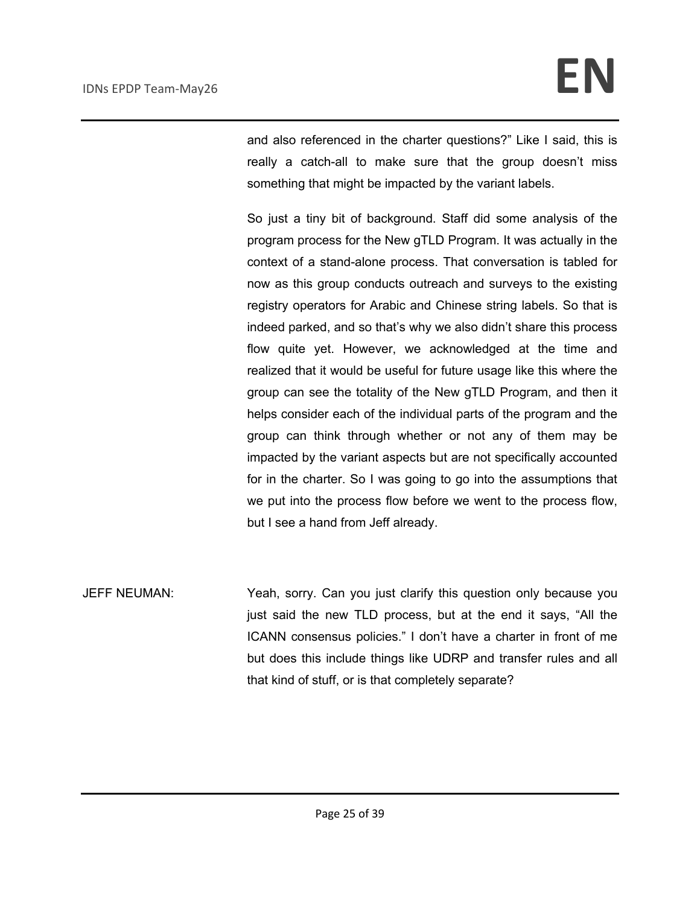and also referenced in the charter questions?" Like I said, this is really a catch-all to make sure that the group doesn't miss something that might be impacted by the variant labels.

So just a tiny bit of background. Staff did some analysis of the program process for the New gTLD Program. It was actually in the context of a stand-alone process. That conversation is tabled for now as this group conducts outreach and surveys to the existing registry operators for Arabic and Chinese string labels. So that is indeed parked, and so that's why we also didn't share this process flow quite yet. However, we acknowledged at the time and realized that it would be useful for future usage like this where the group can see the totality of the New gTLD Program, and then it helps consider each of the individual parts of the program and the group can think through whether or not any of them may be impacted by the variant aspects but are not specifically accounted for in the charter. So I was going to go into the assumptions that we put into the process flow before we went to the process flow, but I see a hand from Jeff already.

JEFF NEUMAN: Yeah, sorry. Can you just clarify this question only because you just said the new TLD process, but at the end it says, "All the ICANN consensus policies." I don't have a charter in front of me but does this include things like UDRP and transfer rules and all that kind of stuff, or is that completely separate?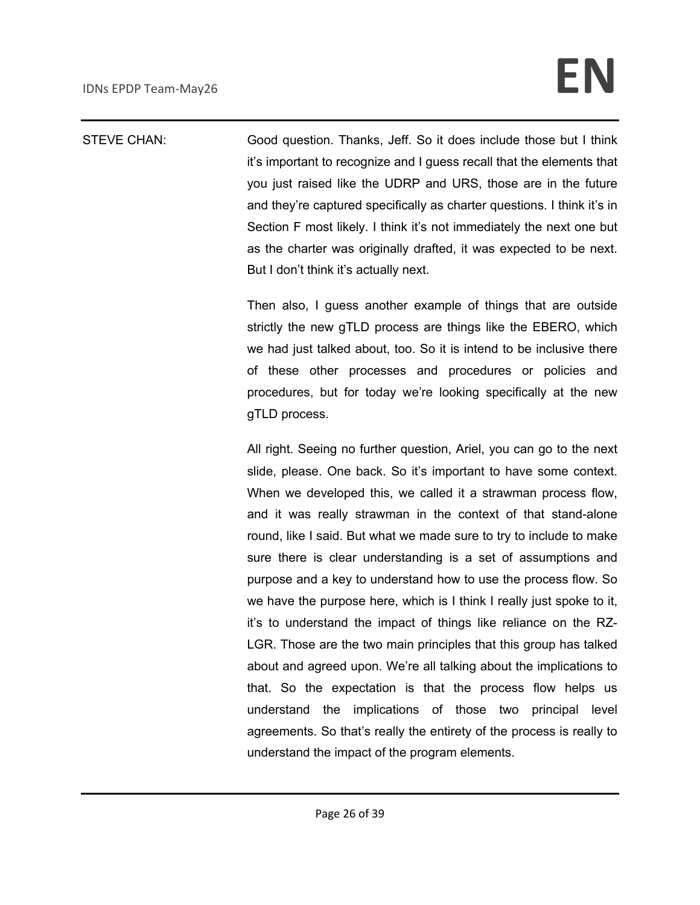STEVE CHAN: Good question. Thanks, Jeff. So it does include those but I think it's important to recognize and I guess recall that the elements that you just raised like the UDRP and URS, those are in the future and they're captured specifically as charter questions. I think it's in Section F most likely. I think it's not immediately the next one but as the charter was originally drafted, it was expected to be next. But I don't think it's actually next.

> Then also, I guess another example of things that are outside strictly the new gTLD process are things like the EBERO, which we had just talked about, too. So it is intend to be inclusive there of these other processes and procedures or policies and procedures, but for today we're looking specifically at the new gTLD process.

> All right. Seeing no further question, Ariel, you can go to the next slide, please. One back. So it's important to have some context. When we developed this, we called it a strawman process flow, and it was really strawman in the context of that stand-alone round, like I said. But what we made sure to try to include to make sure there is clear understanding is a set of assumptions and purpose and a key to understand how to use the process flow. So we have the purpose here, which is I think I really just spoke to it, it's to understand the impact of things like reliance on the RZ-LGR. Those are the two main principles that this group has talked about and agreed upon. We're all talking about the implications to that. So the expectation is that the process flow helps us understand the implications of those two principal level agreements. So that's really the entirety of the process is really to understand the impact of the program elements.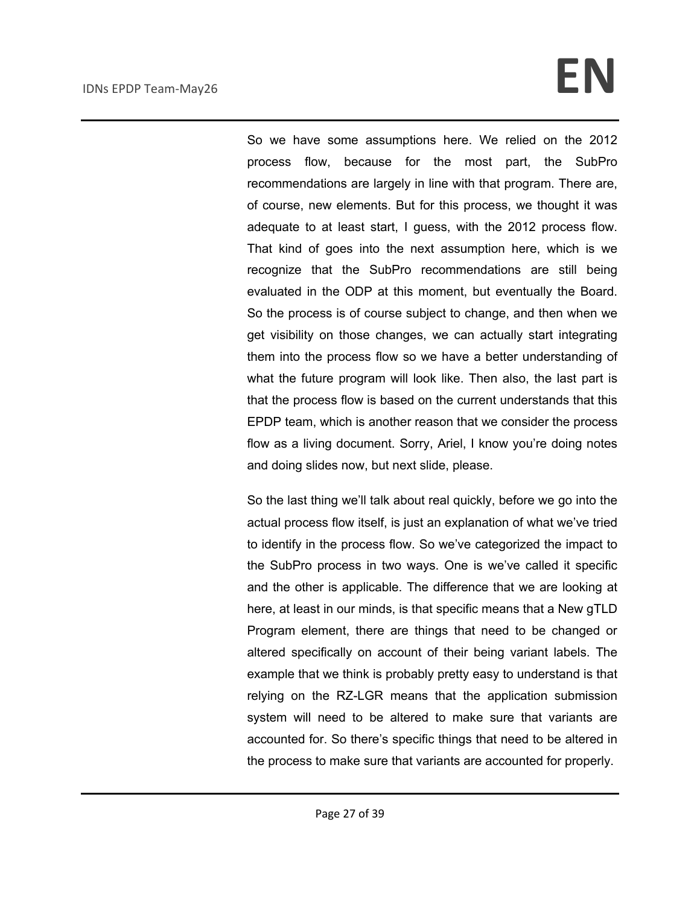So we have some assumptions here. We relied on the 2012 process flow, because for the most part, the SubPro recommendations are largely in line with that program. There are, of course, new elements. But for this process, we thought it was adequate to at least start, I guess, with the 2012 process flow. That kind of goes into the next assumption here, which is we recognize that the SubPro recommendations are still being evaluated in the ODP at this moment, but eventually the Board. So the process is of course subject to change, and then when we get visibility on those changes, we can actually start integrating them into the process flow so we have a better understanding of what the future program will look like. Then also, the last part is that the process flow is based on the current understands that this EPDP team, which is another reason that we consider the process flow as a living document. Sorry, Ariel, I know you're doing notes and doing slides now, but next slide, please.

So the last thing we'll talk about real quickly, before we go into the actual process flow itself, is just an explanation of what we've tried to identify in the process flow. So we've categorized the impact to the SubPro process in two ways. One is we've called it specific and the other is applicable. The difference that we are looking at here, at least in our minds, is that specific means that a New gTLD Program element, there are things that need to be changed or altered specifically on account of their being variant labels. The example that we think is probably pretty easy to understand is that relying on the RZ-LGR means that the application submission system will need to be altered to make sure that variants are accounted for. So there's specific things that need to be altered in the process to make sure that variants are accounted for properly.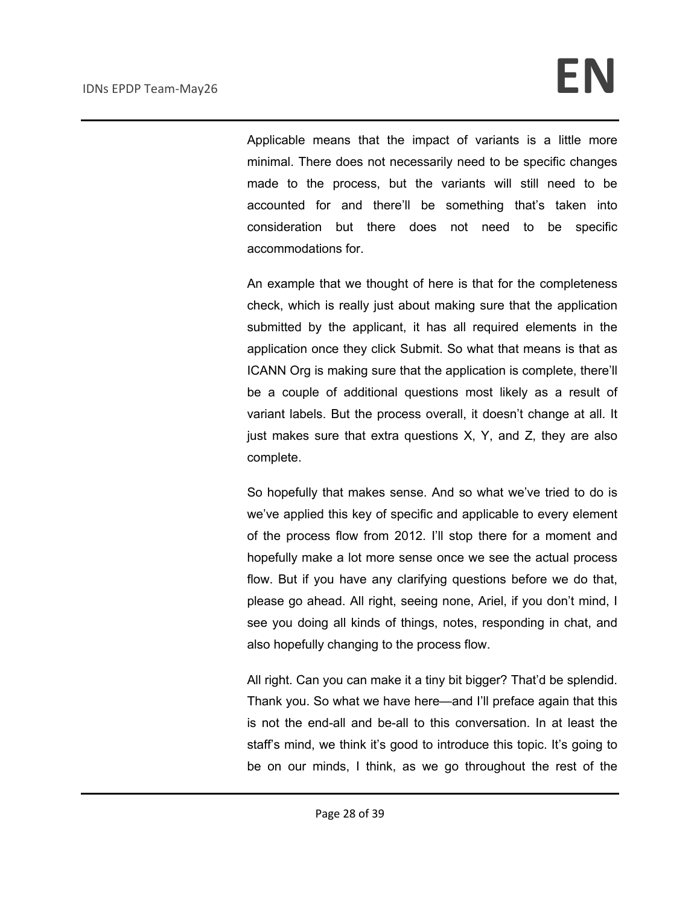Applicable means that the impact of variants is a little more minimal. There does not necessarily need to be specific changes made to the process, but the variants will still need to be accounted for and there'll be something that's taken into consideration but there does not need to be specific accommodations for.

An example that we thought of here is that for the completeness check, which is really just about making sure that the application submitted by the applicant, it has all required elements in the application once they click Submit. So what that means is that as ICANN Org is making sure that the application is complete, there'll be a couple of additional questions most likely as a result of variant labels. But the process overall, it doesn't change at all. It just makes sure that extra questions X, Y, and Z, they are also complete.

So hopefully that makes sense. And so what we've tried to do is we've applied this key of specific and applicable to every element of the process flow from 2012. I'll stop there for a moment and hopefully make a lot more sense once we see the actual process flow. But if you have any clarifying questions before we do that, please go ahead. All right, seeing none, Ariel, if you don't mind, I see you doing all kinds of things, notes, responding in chat, and also hopefully changing to the process flow.

All right. Can you can make it a tiny bit bigger? That'd be splendid. Thank you. So what we have here—and I'll preface again that this is not the end-all and be-all to this conversation. In at least the staff's mind, we think it's good to introduce this topic. It's going to be on our minds, I think, as we go throughout the rest of the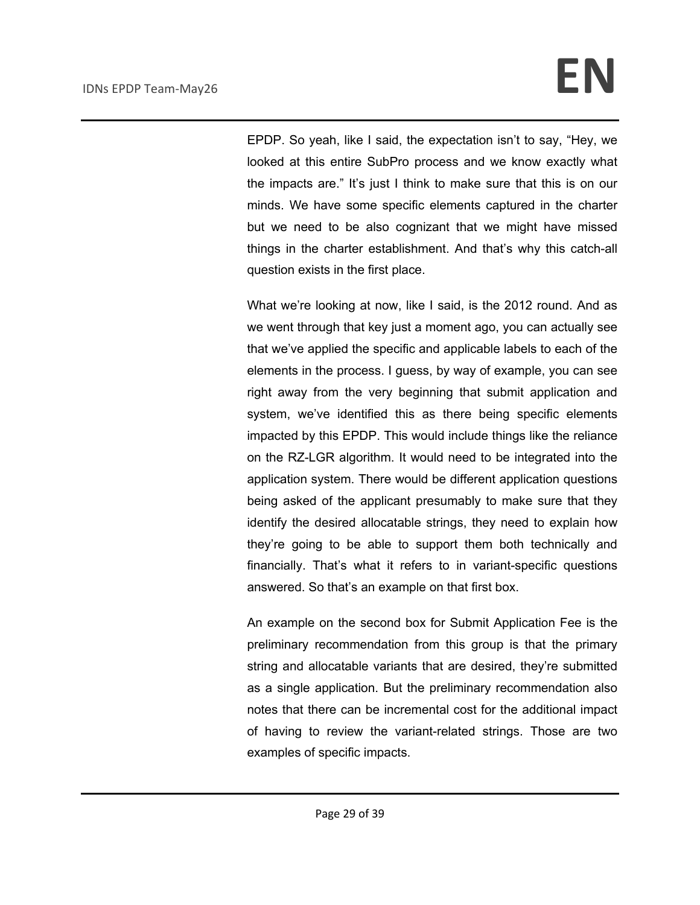EPDP. So yeah, like I said, the expectation isn't to say, "Hey, we looked at this entire SubPro process and we know exactly what the impacts are." It's just I think to make sure that this is on our minds. We have some specific elements captured in the charter but we need to be also cognizant that we might have missed things in the charter establishment. And that's why this catch-all question exists in the first place.

What we're looking at now, like I said, is the 2012 round. And as we went through that key just a moment ago, you can actually see that we've applied the specific and applicable labels to each of the elements in the process. I guess, by way of example, you can see right away from the very beginning that submit application and system, we've identified this as there being specific elements impacted by this EPDP. This would include things like the reliance on the RZ-LGR algorithm. It would need to be integrated into the application system. There would be different application questions being asked of the applicant presumably to make sure that they identify the desired allocatable strings, they need to explain how they're going to be able to support them both technically and financially. That's what it refers to in variant-specific questions answered. So that's an example on that first box.

An example on the second box for Submit Application Fee is the preliminary recommendation from this group is that the primary string and allocatable variants that are desired, they're submitted as a single application. But the preliminary recommendation also notes that there can be incremental cost for the additional impact of having to review the variant-related strings. Those are two examples of specific impacts.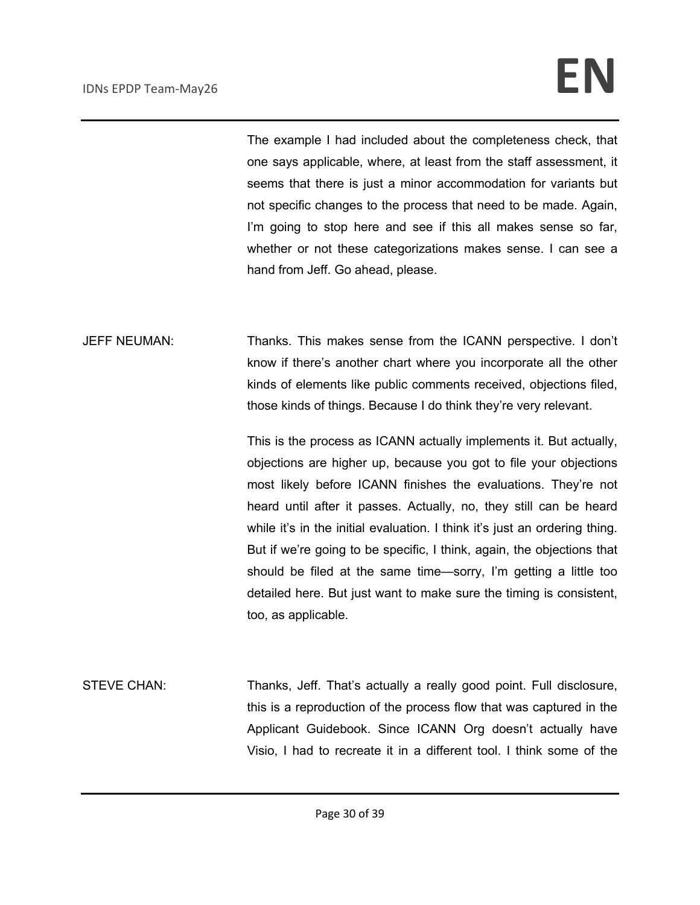The example I had included about the completeness check, that one says applicable, where, at least from the staff assessment, it seems that there is just a minor accommodation for variants but not specific changes to the process that need to be made. Again, I'm going to stop here and see if this all makes sense so far, whether or not these categorizations makes sense. I can see a hand from Jeff. Go ahead, please.

JEFF NEUMAN: Thanks. This makes sense from the ICANN perspective. I don't know if there's another chart where you incorporate all the other kinds of elements like public comments received, objections filed, those kinds of things. Because I do think they're very relevant.

> This is the process as ICANN actually implements it. But actually, objections are higher up, because you got to file your objections most likely before ICANN finishes the evaluations. They're not heard until after it passes. Actually, no, they still can be heard while it's in the initial evaluation. I think it's just an ordering thing. But if we're going to be specific, I think, again, the objections that should be filed at the same time—sorry, I'm getting a little too detailed here. But just want to make sure the timing is consistent, too, as applicable.

STEVE CHAN: Thanks, Jeff. That's actually a really good point. Full disclosure, this is a reproduction of the process flow that was captured in the Applicant Guidebook. Since ICANN Org doesn't actually have Visio, I had to recreate it in a different tool. I think some of the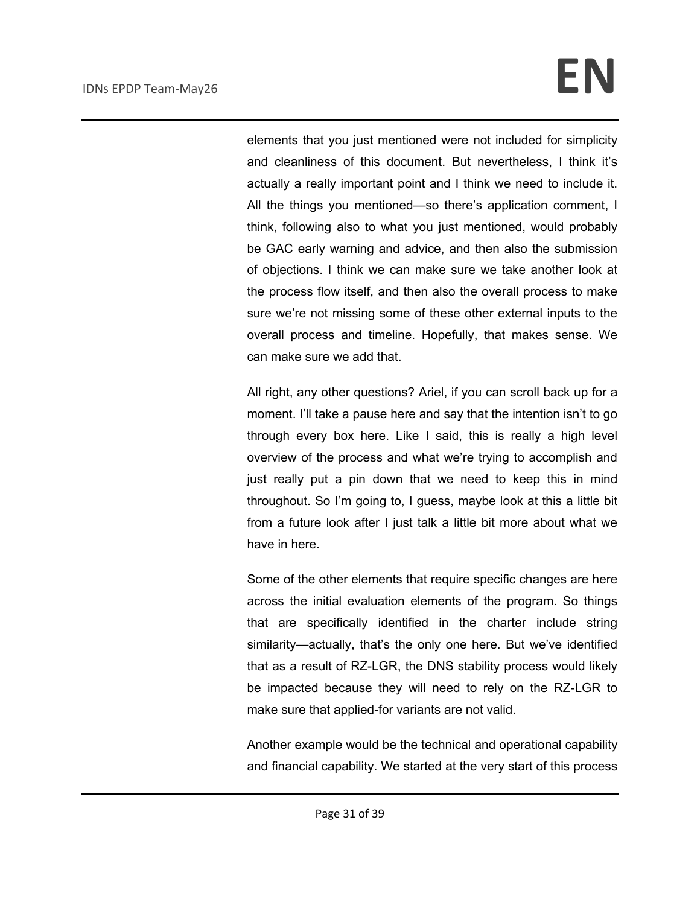elements that you just mentioned were not included for simplicity and cleanliness of this document. But nevertheless, I think it's actually a really important point and I think we need to include it. All the things you mentioned—so there's application comment, I think, following also to what you just mentioned, would probably be GAC early warning and advice, and then also the submission of objections. I think we can make sure we take another look at the process flow itself, and then also the overall process to make sure we're not missing some of these other external inputs to the overall process and timeline. Hopefully, that makes sense. We can make sure we add that.

All right, any other questions? Ariel, if you can scroll back up for a moment. I'll take a pause here and say that the intention isn't to go through every box here. Like I said, this is really a high level overview of the process and what we're trying to accomplish and just really put a pin down that we need to keep this in mind throughout. So I'm going to, I guess, maybe look at this a little bit from a future look after I just talk a little bit more about what we have in here.

Some of the other elements that require specific changes are here across the initial evaluation elements of the program. So things that are specifically identified in the charter include string similarity—actually, that's the only one here. But we've identified that as a result of RZ-LGR, the DNS stability process would likely be impacted because they will need to rely on the RZ-LGR to make sure that applied-for variants are not valid.

Another example would be the technical and operational capability and financial capability. We started at the very start of this process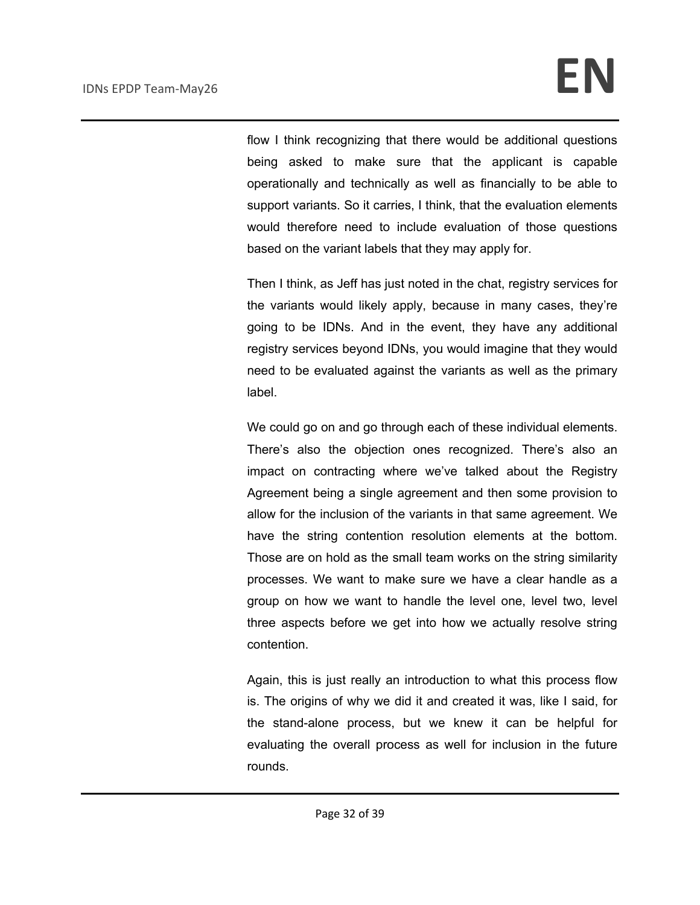flow I think recognizing that there would be additional questions being asked to make sure that the applicant is capable operationally and technically as well as financially to be able to support variants. So it carries, I think, that the evaluation elements would therefore need to include evaluation of those questions based on the variant labels that they may apply for.

Then I think, as Jeff has just noted in the chat, registry services for the variants would likely apply, because in many cases, they're going to be IDNs. And in the event, they have any additional registry services beyond IDNs, you would imagine that they would need to be evaluated against the variants as well as the primary label.

We could go on and go through each of these individual elements. There's also the objection ones recognized. There's also an impact on contracting where we've talked about the Registry Agreement being a single agreement and then some provision to allow for the inclusion of the variants in that same agreement. We have the string contention resolution elements at the bottom. Those are on hold as the small team works on the string similarity processes. We want to make sure we have a clear handle as a group on how we want to handle the level one, level two, level three aspects before we get into how we actually resolve string contention.

Again, this is just really an introduction to what this process flow is. The origins of why we did it and created it was, like I said, for the stand-alone process, but we knew it can be helpful for evaluating the overall process as well for inclusion in the future rounds.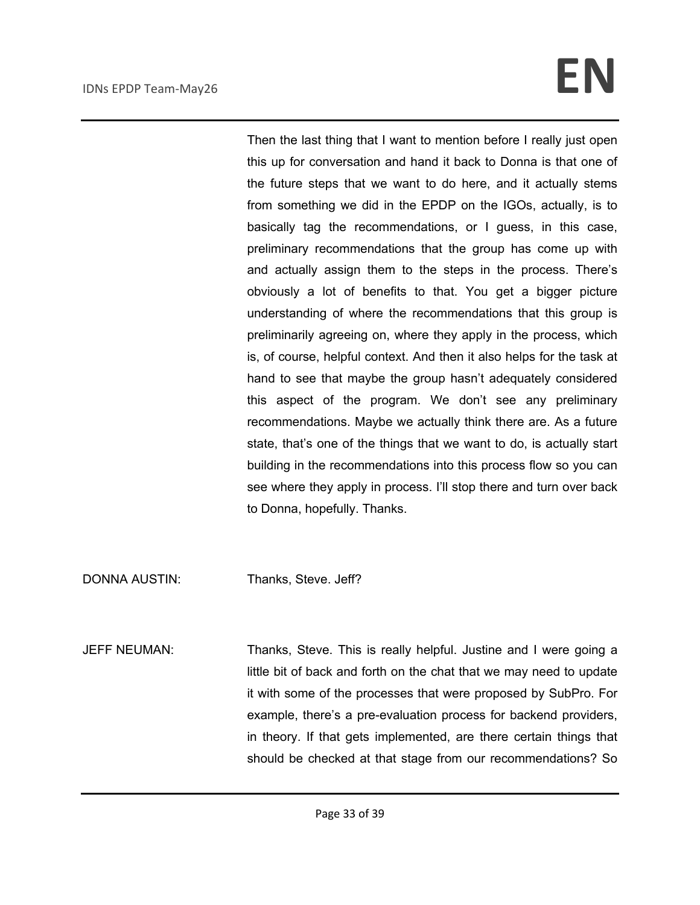Then the last thing that I want to mention before I really just open this up for conversation and hand it back to Donna is that one of the future steps that we want to do here, and it actually stems from something we did in the EPDP on the IGOs, actually, is to basically tag the recommendations, or I guess, in this case, preliminary recommendations that the group has come up with and actually assign them to the steps in the process. There's obviously a lot of benefits to that. You get a bigger picture understanding of where the recommendations that this group is preliminarily agreeing on, where they apply in the process, which is, of course, helpful context. And then it also helps for the task at hand to see that maybe the group hasn't adequately considered this aspect of the program. We don't see any preliminary recommendations. Maybe we actually think there are. As a future state, that's one of the things that we want to do, is actually start building in the recommendations into this process flow so you can see where they apply in process. I'll stop there and turn over back to Donna, hopefully. Thanks.

DONNA AUSTIN: Thanks, Steve. Jeff?

JEFF NEUMAN: Thanks, Steve. This is really helpful. Justine and I were going a little bit of back and forth on the chat that we may need to update it with some of the processes that were proposed by SubPro. For example, there's a pre-evaluation process for backend providers, in theory. If that gets implemented, are there certain things that should be checked at that stage from our recommendations? So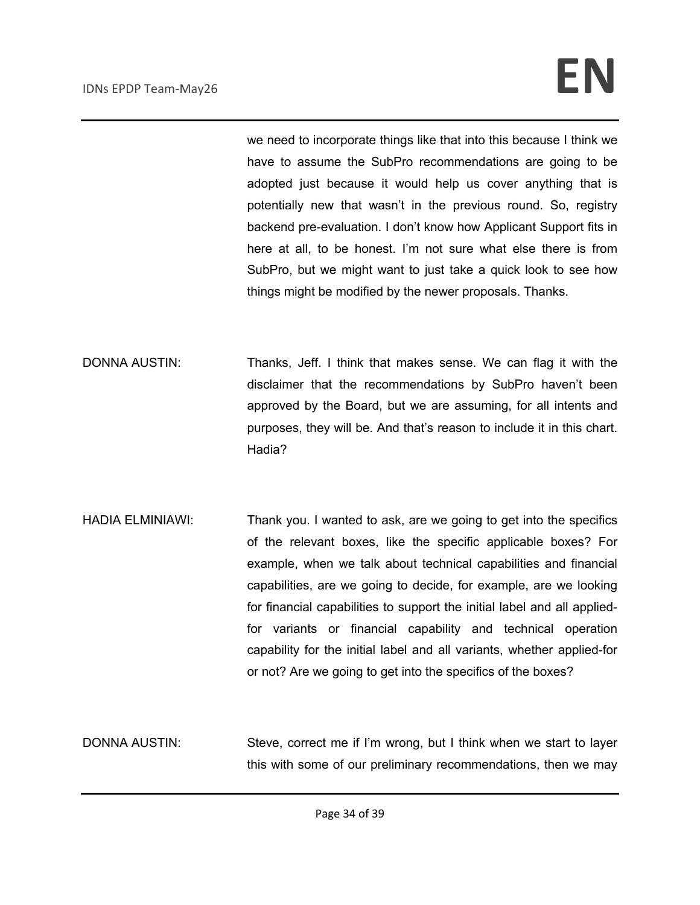we need to incorporate things like that into this because I think we have to assume the SubPro recommendations are going to be adopted just because it would help us cover anything that is potentially new that wasn't in the previous round. So, registry backend pre-evaluation. I don't know how Applicant Support fits in here at all, to be honest. I'm not sure what else there is from SubPro, but we might want to just take a quick look to see how things might be modified by the newer proposals. Thanks.

- DONNA AUSTIN: Thanks, Jeff. I think that makes sense. We can flag it with the disclaimer that the recommendations by SubPro haven't been approved by the Board, but we are assuming, for all intents and purposes, they will be. And that's reason to include it in this chart. Hadia?
- HADIA ELMINIAWI: Thank you. I wanted to ask, are we going to get into the specifics of the relevant boxes, like the specific applicable boxes? For example, when we talk about technical capabilities and financial capabilities, are we going to decide, for example, are we looking for financial capabilities to support the initial label and all appliedfor variants or financial capability and technical operation capability for the initial label and all variants, whether applied-for or not? Are we going to get into the specifics of the boxes?
- DONNA AUSTIN: Steve, correct me if I'm wrong, but I think when we start to layer this with some of our preliminary recommendations, then we may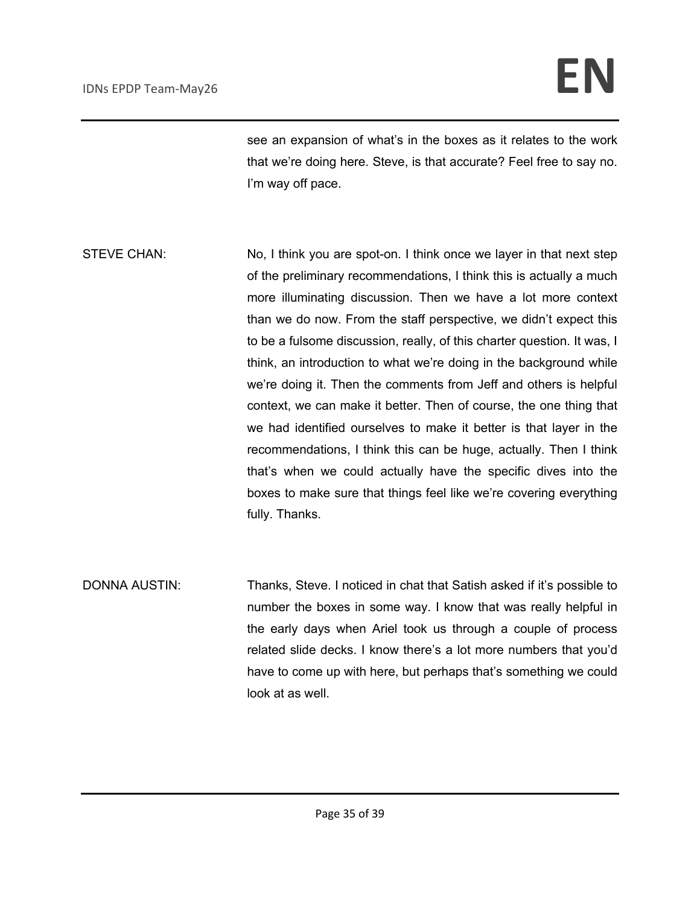see an expansion of what's in the boxes as it relates to the work that we're doing here. Steve, is that accurate? Feel free to say no. I'm way off pace.

STEVE CHAN: No, I think you are spot-on. I think once we layer in that next step of the preliminary recommendations, I think this is actually a much more illuminating discussion. Then we have a lot more context than we do now. From the staff perspective, we didn't expect this to be a fulsome discussion, really, of this charter question. It was, I think, an introduction to what we're doing in the background while we're doing it. Then the comments from Jeff and others is helpful context, we can make it better. Then of course, the one thing that we had identified ourselves to make it better is that layer in the recommendations, I think this can be huge, actually. Then I think that's when we could actually have the specific dives into the boxes to make sure that things feel like we're covering everything fully. Thanks.

DONNA AUSTIN: Thanks, Steve. I noticed in chat that Satish asked if it's possible to number the boxes in some way. I know that was really helpful in the early days when Ariel took us through a couple of process related slide decks. I know there's a lot more numbers that you'd have to come up with here, but perhaps that's something we could look at as well.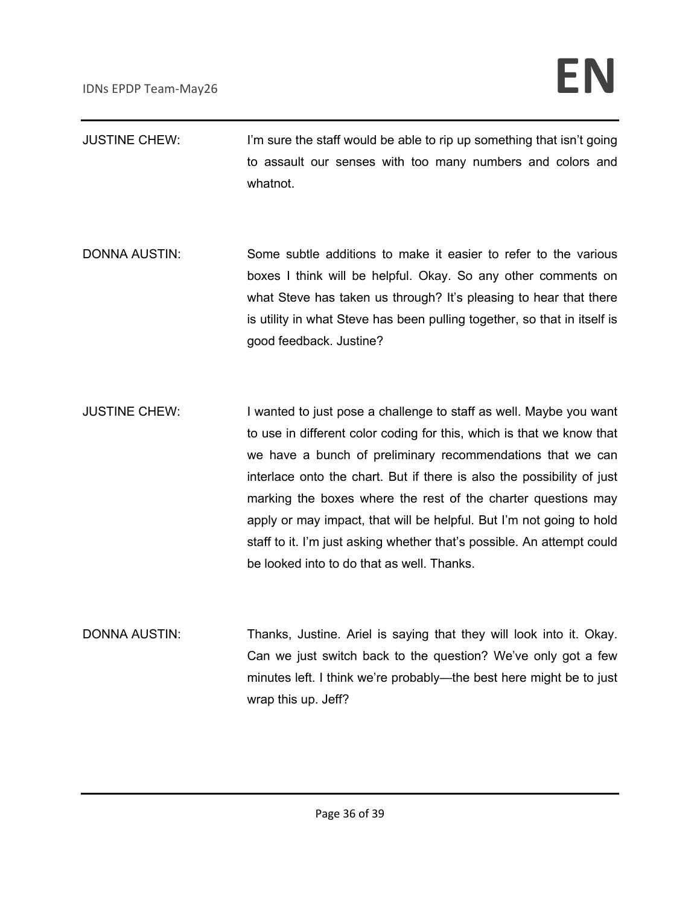- JUSTINE CHEW: I'm sure the staff would be able to rip up something that isn't going to assault our senses with too many numbers and colors and whatnot.
- DONNA AUSTIN: Some subtle additions to make it easier to refer to the various boxes I think will be helpful. Okay. So any other comments on what Steve has taken us through? It's pleasing to hear that there is utility in what Steve has been pulling together, so that in itself is good feedback. Justine?
- JUSTINE CHEW: I wanted to just pose a challenge to staff as well. Maybe you want to use in different color coding for this, which is that we know that we have a bunch of preliminary recommendations that we can interlace onto the chart. But if there is also the possibility of just marking the boxes where the rest of the charter questions may apply or may impact, that will be helpful. But I'm not going to hold staff to it. I'm just asking whether that's possible. An attempt could be looked into to do that as well. Thanks.
- DONNA AUSTIN: Thanks, Justine. Ariel is saying that they will look into it. Okay. Can we just switch back to the question? We've only got a few minutes left. I think we're probably—the best here might be to just wrap this up. Jeff?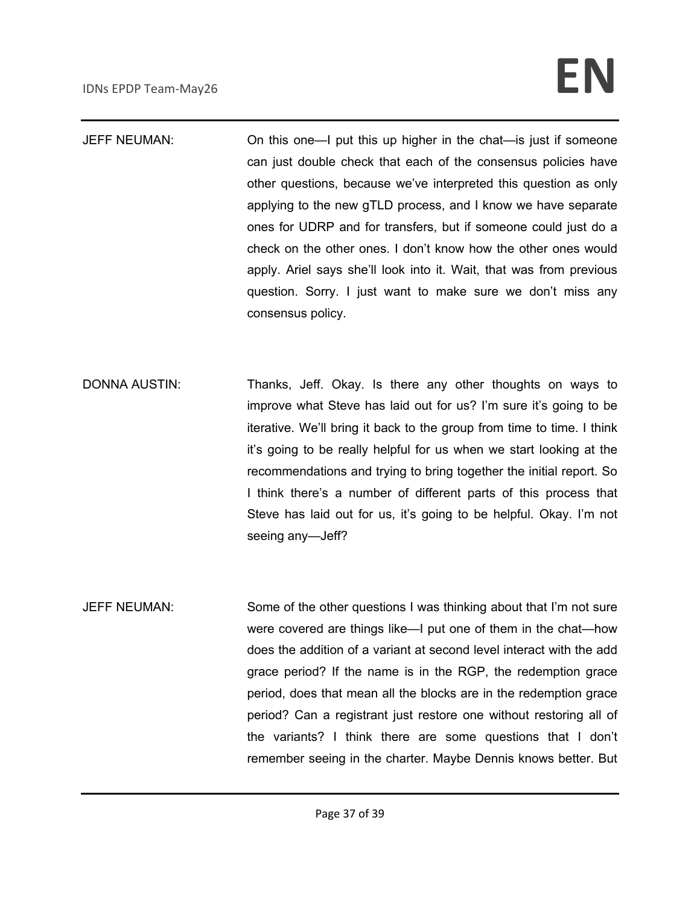JEFF NEUMAN: On this one—I put this up higher in the chat—is just if someone can just double check that each of the consensus policies have other questions, because we've interpreted this question as only applying to the new gTLD process, and I know we have separate ones for UDRP and for transfers, but if someone could just do a check on the other ones. I don't know how the other ones would apply. Ariel says she'll look into it. Wait, that was from previous question. Sorry. I just want to make sure we don't miss any consensus policy.

- DONNA AUSTIN: Thanks, Jeff. Okay. Is there any other thoughts on ways to improve what Steve has laid out for us? I'm sure it's going to be iterative. We'll bring it back to the group from time to time. I think it's going to be really helpful for us when we start looking at the recommendations and trying to bring together the initial report. So I think there's a number of different parts of this process that Steve has laid out for us, it's going to be helpful. Okay. I'm not seeing any—Jeff?
- JEFF NEUMAN: Some of the other questions I was thinking about that I'm not sure were covered are things like—I put one of them in the chat—how does the addition of a variant at second level interact with the add grace period? If the name is in the RGP, the redemption grace period, does that mean all the blocks are in the redemption grace period? Can a registrant just restore one without restoring all of the variants? I think there are some questions that I don't remember seeing in the charter. Maybe Dennis knows better. But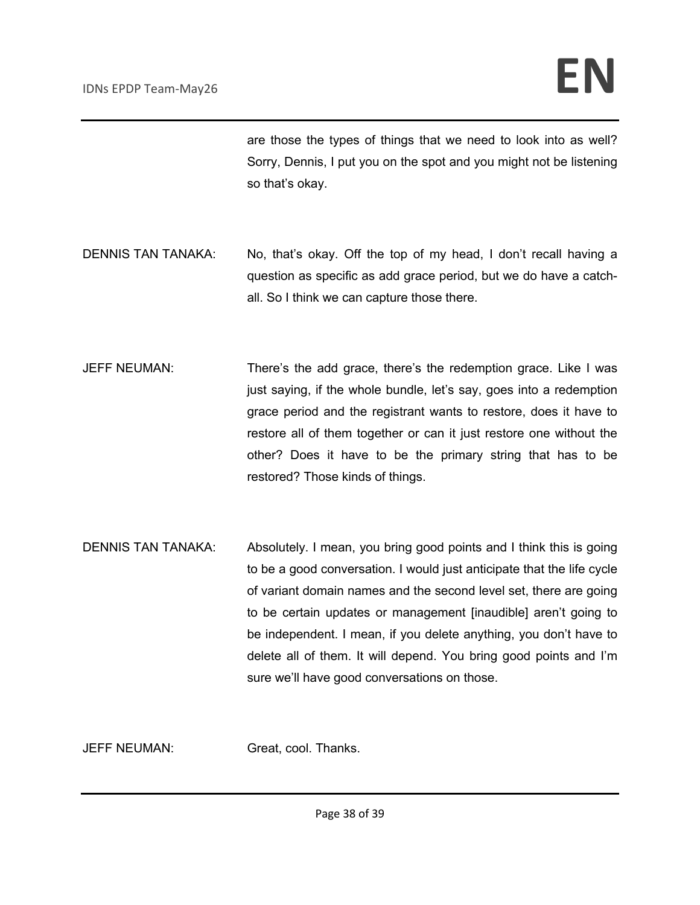are those the types of things that we need to look into as well? Sorry, Dennis, I put you on the spot and you might not be listening so that's okay.

- DENNIS TAN TANAKA: No, that's okay. Off the top of my head, I don't recall having a question as specific as add grace period, but we do have a catchall. So I think we can capture those there.
- JEFF NEUMAN: There's the add grace, there's the redemption grace. Like I was just saying, if the whole bundle, let's say, goes into a redemption grace period and the registrant wants to restore, does it have to restore all of them together or can it just restore one without the other? Does it have to be the primary string that has to be restored? Those kinds of things.
- DENNIS TAN TANAKA: Absolutely. I mean, you bring good points and I think this is going to be a good conversation. I would just anticipate that the life cycle of variant domain names and the second level set, there are going to be certain updates or management [inaudible] aren't going to be independent. I mean, if you delete anything, you don't have to delete all of them. It will depend. You bring good points and I'm sure we'll have good conversations on those.

JEFF NEUMAN: Great, cool. Thanks.